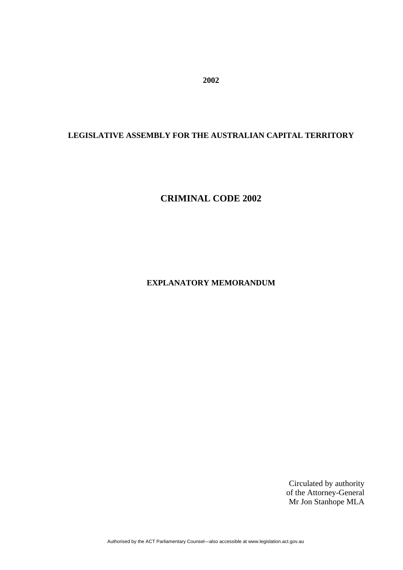**2002** 

# **LEGISLATIVE ASSEMBLY FOR THE AUSTRALIAN CAPITAL TERRITORY**

# **CRIMINAL CODE 2002**

**EXPLANATORY MEMORANDUM**

Circulated by authority of the Attorney-General Mr Jon Stanhope MLA

Authorised by the ACT Parliamentary Counsel—also accessible at www.legislation.act.gov.au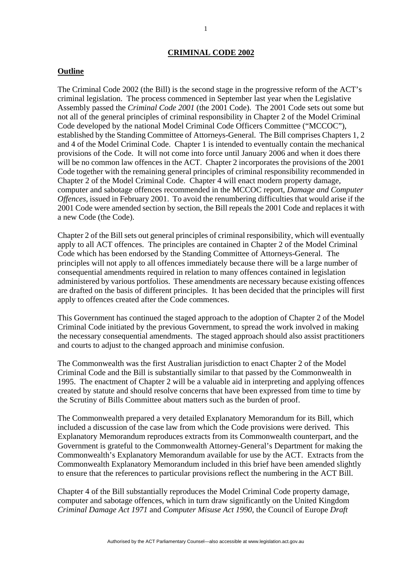#### **CRIMINAL CODE 2002**

#### **Outline**

The Criminal Code 2002 (the Bill) is the second stage in the progressive reform of the ACT's criminal legislation. The process commenced in September last year when the Legislative Assembly passed the *Criminal Code 2001* (the 2001 Code). The 2001 Code sets out some but not all of the general principles of criminal responsibility in Chapter 2 of the Model Criminal Code developed by the national Model Criminal Code Officers Committee ("MCCOC"), established by the Standing Committee of Attorneys-General. The Bill comprises Chapters 1, 2 and 4 of the Model Criminal Code. Chapter 1 is intended to eventually contain the mechanical provisions of the Code. It will not come into force until January 2006 and when it does there will be no common law offences in the ACT. Chapter 2 incorporates the provisions of the 2001 Code together with the remaining general principles of criminal responsibility recommended in Chapter 2 of the Model Criminal Code. Chapter 4 will enact modern property damage, computer and sabotage offences recommended in the MCCOC report, *Damage and Computer Offences*, issued in February 2001. To avoid the renumbering difficulties that would arise if the 2001 Code were amended section by section, the Bill repeals the 2001 Code and replaces it with a new Code (the Code).

Chapter 2 of the Bill sets out general principles of criminal responsibility, which will eventually apply to all ACT offences. The principles are contained in Chapter 2 of the Model Criminal Code which has been endorsed by the Standing Committee of Attorneys-General. The principles will not apply to all offences immediately because there will be a large number of consequential amendments required in relation to many offences contained in legislation administered by various portfolios. These amendments are necessary because existing offences are drafted on the basis of different principles. It has been decided that the principles will first apply to offences created after the Code commences.

This Government has continued the staged approach to the adoption of Chapter 2 of the Model Criminal Code initiated by the previous Government, to spread the work involved in making the necessary consequential amendments. The staged approach should also assist practitioners and courts to adjust to the changed approach and minimise confusion.

The Commonwealth was the first Australian jurisdiction to enact Chapter 2 of the Model Criminal Code and the Bill is substantially similar to that passed by the Commonwealth in 1995. The enactment of Chapter 2 will be a valuable aid in interpreting and applying offences created by statute and should resolve concerns that have been expressed from time to time by the Scrutiny of Bills Committee about matters such as the burden of proof.

The Commonwealth prepared a very detailed Explanatory Memorandum for its Bill, which included a discussion of the case law from which the Code provisions were derived. This Explanatory Memorandum reproduces extracts from its Commonwealth counterpart, and the Government is grateful to the Commonwealth Attorney-General's Department for making the Commonwealth's Explanatory Memorandum available for use by the ACT. Extracts from the Commonwealth Explanatory Memorandum included in this brief have been amended slightly to ensure that the references to particular provisions reflect the numbering in the ACT Bill.

Chapter 4 of the Bill substantially reproduces the Model Criminal Code property damage, computer and sabotage offences, which in turn draw significantly on the United Kingdom *Criminal Damage Act 1971* and *Computer Misuse Act 1990*, the Council of Europe *Draft*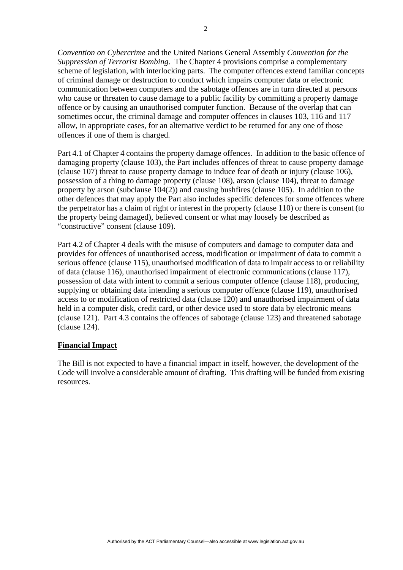*Convention on Cybercrime* and the United Nations General Assembly *Convention for the Suppression of Terrorist Bombing*. The Chapter 4 provisions comprise a complementary scheme of legislation, with interlocking parts. The computer offences extend familiar concepts of criminal damage or destruction to conduct which impairs computer data or electronic communication between computers and the sabotage offences are in turn directed at persons who cause or threaten to cause damage to a public facility by committing a property damage offence or by causing an unauthorised computer function. Because of the overlap that can sometimes occur, the criminal damage and computer offences in clauses 103, 116 and 117 allow, in appropriate cases, for an alternative verdict to be returned for any one of those offences if one of them is charged.

Part 4.1 of Chapter 4 contains the property damage offences. In addition to the basic offence of damaging property (clause 103), the Part includes offences of threat to cause property damage (clause 107) threat to cause property damage to induce fear of death or injury (clause 106), possession of a thing to damage property (clause 108), arson (clause 104), threat to damage property by arson (subclause  $104(2)$ ) and causing bushfires (clause 105). In addition to the other defences that may apply the Part also includes specific defences for some offences where the perpetrator has a claim of right or interest in the property (clause 110) or there is consent (to the property being damaged), believed consent or what may loosely be described as "constructive" consent (clause 109).

Part 4.2 of Chapter 4 deals with the misuse of computers and damage to computer data and provides for offences of unauthorised access, modification or impairment of data to commit a serious offence (clause 115), unauthorised modification of data to impair access to or reliability of data (clause 116), unauthorised impairment of electronic communications (clause 117), possession of data with intent to commit a serious computer offence (clause 118), producing, supplying or obtaining data intending a serious computer offence (clause 119), unauthorised access to or modification of restricted data (clause 120) and unauthorised impairment of data held in a computer disk, credit card, or other device used to store data by electronic means (clause 121). Part 4.3 contains the offences of sabotage (clause 123) and threatened sabotage (clause 124).

## **Financial Impact**

The Bill is not expected to have a financial impact in itself, however, the development of the Code will involve a considerable amount of drafting. This drafting will be funded from existing resources.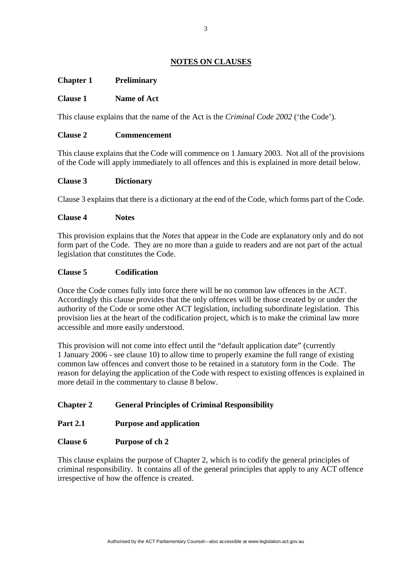# **NOTES ON CLAUSES**

# **Chapter 1 Preliminary**

## **Clause 1 Name of Act**

This clause explains that the name of the Act is the *Criminal Code 2002* ('the Code')*.* 

#### **Clause 2 Commencement**

This clause explains that the Code will commence on 1 January 2003. Not all of the provisions of the Code will apply immediately to all offences and this is explained in more detail below.

### **Clause 3 Dictionary**

Clause 3 explains that there is a dictionary at the end of the Code, which forms part of the Code.

#### **Clause 4 Notes**

This provision explains that the *Notes* that appear in the Code are explanatory only and do not form part of the Code. They are no more than a guide to readers and are not part of the actual legislation that constitutes the Code.

### **Clause 5 Codification**

Once the Code comes fully into force there will be no common law offences in the ACT. Accordingly this clause provides that the only offences will be those created by or under the authority of the Code or some other ACT legislation, including subordinate legislation. This provision lies at the heart of the codification project, which is to make the criminal law more accessible and more easily understood.

This provision will not come into effect until the "default application date" (currently 1 January 2006 - see clause 10) to allow time to properly examine the full range of existing common law offences and convert those to be retained in a statutory form in the Code. The reason for delaying the application of the Code with respect to existing offences is explained in more detail in the commentary to clause 8 below.

## **Chapter 2 General Principles of Criminal Responsibility**

## **Part 2.1 Purpose and application**

#### **Clause 6 Purpose of ch 2**

This clause explains the purpose of Chapter 2, which is to codify the general principles of criminal responsibility. It contains all of the general principles that apply to any ACT offence irrespective of how the offence is created.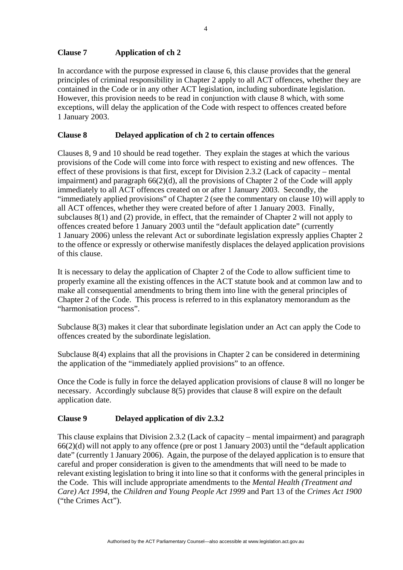# **Clause 7 Application of ch 2**

In accordance with the purpose expressed in clause 6, this clause provides that the general principles of criminal responsibility in Chapter 2 apply to all ACT offences, whether they are contained in the Code or in any other ACT legislation, including subordinate legislation. However, this provision needs to be read in conjunction with clause 8 which, with some exceptions, will delay the application of the Code with respect to offences created before 1 January 2003.

# **Clause 8 Delayed application of ch 2 to certain offences**

Clauses 8, 9 and 10 should be read together. They explain the stages at which the various provisions of the Code will come into force with respect to existing and new offences. The effect of these provisions is that first, except for Division 2.3.2 (Lack of capacity – mental impairment) and paragraph 66(2)(d), all the provisions of Chapter 2 of the Code will apply immediately to all ACT offences created on or after 1 January 2003. Secondly, the "immediately applied provisions" of Chapter 2 (see the commentary on clause 10) will apply to all ACT offences, whether they were created before of after 1 January 2003. Finally, subclauses 8(1) and (2) provide, in effect, that the remainder of Chapter 2 will not apply to offences created before 1 January 2003 until the "default application date" (currently 1 January 2006) unless the relevant Act or subordinate legislation expressly applies Chapter 2 to the offence or expressly or otherwise manifestly displaces the delayed application provisions of this clause.

It is necessary to delay the application of Chapter 2 of the Code to allow sufficient time to properly examine all the existing offences in the ACT statute book and at common law and to make all consequential amendments to bring them into line with the general principles of Chapter 2 of the Code. This process is referred to in this explanatory memorandum as the "harmonisation process".

Subclause 8(3) makes it clear that subordinate legislation under an Act can apply the Code to offences created by the subordinate legislation.

Subclause 8(4) explains that all the provisions in Chapter 2 can be considered in determining the application of the "immediately applied provisions" to an offence.

Once the Code is fully in force the delayed application provisions of clause 8 will no longer be necessary. Accordingly subclause 8(5) provides that clause 8 will expire on the default application date.

# **Clause 9 Delayed application of div 2.3.2**

This clause explains that Division 2.3.2 (Lack of capacity – mental impairment) and paragraph 66(2)(d) will not apply to any offence (pre or post 1 January 2003) until the "default application date" (currently 1 January 2006). Again, the purpose of the delayed application is to ensure that careful and proper consideration is given to the amendments that will need to be made to relevant existing legislation to bring it into line so that it conforms with the general principles in the Code. This will include appropriate amendments to the *Mental Health (Treatment and Care) Act 1994*, the *Children and Young People Act 1999* and Part 13 of the *Crimes Act 1900* ("the Crimes Act").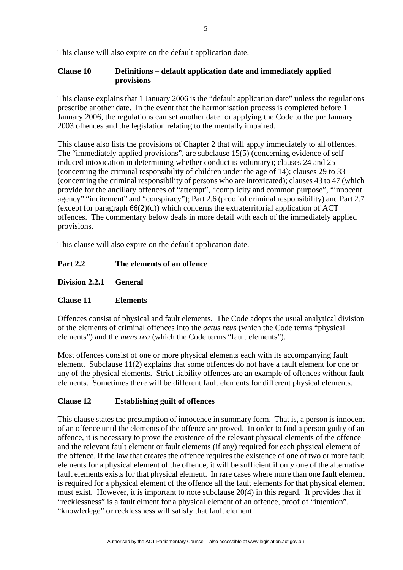This clause will also expire on the default application date.

# **Clause 10 Definitions – default application date and immediately applied provisions**

This clause explains that 1 January 2006 is the "default application date" unless the regulations prescribe another date. In the event that the harmonisation process is completed before 1 January 2006, the regulations can set another date for applying the Code to the pre January 2003 offences and the legislation relating to the mentally impaired.

This clause also lists the provisions of Chapter 2 that will apply immediately to all offences. The "immediately applied provisions", are subclause 15(5) (concerning evidence of self induced intoxication in determining whether conduct is voluntary); clauses 24 and 25 (concerning the criminal responsibility of children under the age of 14); clauses 29 to 33 (concerning the criminal responsibility of persons who are intoxicated); clauses 43 to 47 (which provide for the ancillary offences of "attempt", "complicity and common purpose", "innocent agency" "incitement" and "conspiracy"); Part 2.6 (proof of criminal responsibility) and Part 2.7 (except for paragraph  $66(2)(d)$ ) which concerns the extraterritorial application of ACT offences. The commentary below deals in more detail with each of the immediately applied provisions.

This clause will also expire on the default application date.

# **Part 2.2 The elements of an offence**

**Division 2.2.1 General** 

# **Clause 11 Elements**

Offences consist of physical and fault elements. The Code adopts the usual analytical division of the elements of criminal offences into the *actus reus* (which the Code terms "physical elements") and the *mens rea* (which the Code terms "fault elements").

Most offences consist of one or more physical elements each with its accompanying fault element. Subclause 11(2) explains that some offences do not have a fault element for one or any of the physical elements. Strict liability offences are an example of offences without fault elements. Sometimes there will be different fault elements for different physical elements.

# **Clause 12 Establishing guilt of offences**

This clause states the presumption of innocence in summary form. That is, a person is innocent of an offence until the elements of the offence are proved. In order to find a person guilty of an offence, it is necessary to prove the existence of the relevant physical elements of the offence and the relevant fault element or fault elements (if any) required for each physical element of the offence. If the law that creates the offence requires the existence of one of two or more fault elements for a physical element of the offence, it will be sufficient if only one of the alternative fault elements exists for that physical element. In rare cases where more than one fault element is required for a physical element of the offence all the fault elements for that physical element must exist. However, it is important to note subclause 20(4) in this regard. It provides that if "recklessness" is a fault elment for a physical element of an offence, proof of "intention", "knowledege" or recklessness will satisfy that fault element.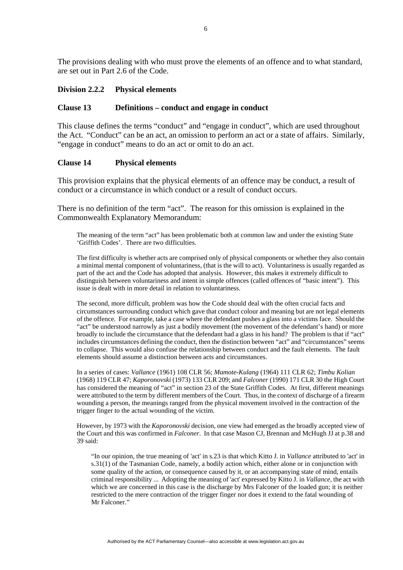The provisions dealing with who must prove the elements of an offence and to what standard, are set out in Part 2.6 of the Code.

### **Division 2.2.2 Physical elements**

#### **Clause 13 Definitions – conduct and engage in conduct**

This clause defines the terms "conduct" and "engage in conduct", which are used throughout the Act. "Conduct" can be an act, an omission to perform an act or a state of affairs. Similarly, "engage in conduct" means to do an act or omit to do an act.

#### **Clause 14 Physical elements**

This provision explains that the physical elements of an offence may be conduct, a result of conduct or a circumstance in which conduct or a result of conduct occurs.

There is no definition of the term "act". The reason for this omission is explained in the Commonwealth Explanatory Memorandum:

The meaning of the term "act" has been problematic both at common law and under the existing State 'Griffith Codes'. There are two difficulties.

The first difficulty is whether acts are comprised only of physical components or whether they also contain a minimal mental component of voluntariness, (that is the will to act). Voluntariness is usually regarded as part of the act and the Code has adopted that analysis. However, this makes it extremely difficult to distinguish between voluntariness and intent in simple offences (called offences of "basic intent"). This issue is dealt with in more detail in relation to voluntariness.

The second, more difficult, problem was how the Code should deal with the often crucial facts and circumstances surrounding conduct which gave that conduct colour and meaning but are not legal elements of the offence. For example, take a case where the defendant pushes a glass into a victims face. Should the "act" be understood narrowly as just a bodily movement (the movement of the defendant's hand) or more broadly to include the circumstance that the defendant had a glass in his hand? The problem is that if "act" includes circumstances defining the conduct, then the distinction between "act" and "circumstances" seems to collapse. This would also confuse the relationship between conduct and the fault elements. The fault elements should assume a distinction between acts and circumstances.

In a series of cases: *Vallance* (1961) 108 CLR 56; *Mamote-Kulang* (1964) 111 CLR 62; *Timbu Kolian* (1968) 119 CLR 47; *Kaporonovski* (1973) 133 CLR 209; and *Falconer* (1990) 171 CLR 30 the High Court has considered the meaning of "act" in section 23 of the State Griffith Codes. At first, different meanings were attributed to the term by different members of the Court. Thus, in the context of discharge of a firearm wounding a person, the meanings ranged from the physical movement involved in the contraction of the trigger finger to the actual wounding of the victim.

However, by 1973 with the *Kaporonovski* decision, one view had emerged as the broadly accepted view of the Court and this was confirmed in *Falconer*. In that case Mason CJ, Brennan and McHugh JJ at p.38 and 39 said:

"In our opinion, the true meaning of 'act' in s.23 is that which Kitto J. in *Vallance* attributed to 'act' in s.31(1) of the Tasmanian Code, namely, a bodily action which, either alone or in conjunction with some quality of the action, or consequence caused by it, or an accompanying state of mind, entails criminal responsibility ... Adopting the meaning of 'act' expressed by Kitto J. in *Vallance*, the act with which we are concerned in this case is the discharge by Mrs Falconer of the loaded gun; it is neither restricted to the mere contraction of the trigger finger nor does it extend to the fatal wounding of Mr Falconer."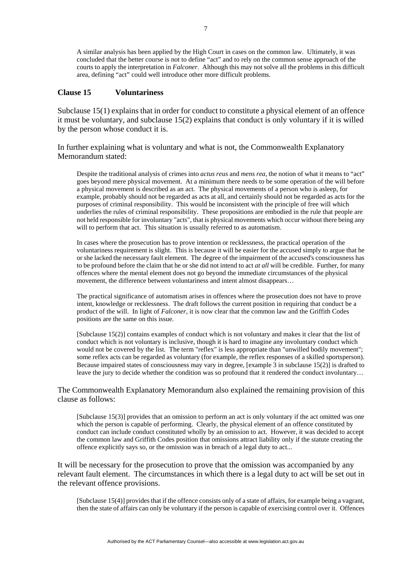A similar analysis has been applied by the High Court in cases on the common law. Ultimately, it was concluded that the better course is not to define "act" and to rely on the common sense approach of the courts to apply the interpretation in *Falconer*. Although this may not solve all the problems in this difficult area, defining "act" could well introduce other more difficult problems.

#### **Clause 15 Voluntariness**

Subclause 15(1) explains that in order for conduct to constitute a physical element of an offence it must be voluntary, and subclause 15(2) explains that conduct is only voluntary if it is willed by the person whose conduct it is.

In further explaining what is voluntary and what is not, the Commonwealth Explanatory Memorandum stated:

Despite the traditional analysis of crimes into *actus reus* and *mens rea*, the notion of what it means to "act" goes beyond mere physical movement. At a minimum there needs to be some operation of the will before a physical movement is described as an act. The physical movements of a person who is asleep, for example, probably should not be regarded as acts at all, and certainly should not be regarded as acts for the purposes of criminal responsibility. This would be inconsistent with the principle of free will which underlies the rules of criminal responsibility. These propositions are embodied in the rule that people are not held responsible for involuntary "acts", that is physical movements which occur without there being any will to perform that act. This situation is usually referred to as automatism.

In cases where the prosecution has to prove intention or recklessness, the practical operation of the voluntariness requirement is slight. This is because it will be easier for the accused simply to argue that he or she lacked the necessary fault element. The degree of the impairment of the accused's consciousness has to be profound before the claim that he or she did not intend to act *at all* will be credible. Further, for many offences where the mental element does not go beyond the immediate circumstances of the physical movement, the difference between voluntariness and intent almost disappears…

The practical significance of automatism arises in offences where the prosecution does not have to prove intent, knowledge or recklessness. The draft follows the current position in requiring that conduct be a product of the will. In light of *Falconer*, it is now clear that the common law and the Griffith Codes positions are the same on this issue.

[Subclause 15(2)] contains examples of conduct which is not voluntary and makes it clear that the list of conduct which is not voluntary is inclusive, though it is hard to imagine any involuntary conduct which would not be covered by the list. The term "reflex" is less appropriate than "unwilled bodily movement"; some reflex acts can be regarded as voluntary (for example, the reflex responses of a skilled sportsperson). Because impaired states of consciousness may vary in degree, [example 3 in subclause 15(2)] is drafted to leave the jury to decide whether the condition was so profound that it rendered the conduct involuntary…

The Commonwealth Explanatory Memorandum also explained the remaining provision of this clause as follows:

[Subclause 15(3)] provides that an omission to perform an act is only voluntary if the act omitted was one which the person is capable of performing.Clearly, the physical element of an offence constituted by conduct can include conduct constituted wholly by an omission to act. However, it was decided to accept the common law and Griffith Codes position that omissions attract liability only if the statute creating the offence explicitly says so, or the omission was in breach of a legal duty to act...

It will be necessary for the prosecution to prove that the omission was accompanied by any relevant fault element. The circumstances in which there is a legal duty to act will be set out in the relevant offence provisions.

[Subclause 15(4)] provides that if the offence consists only of a state of affairs, for example being a vagrant, then the state of affairs can only be voluntary if the person is capable of exercising control over it.Offences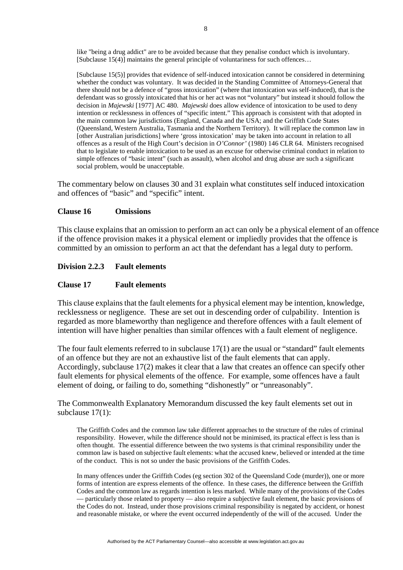like "being a drug addict" are to be avoided because that they penalise conduct which is involuntary. [Subclause 15(4)] maintains the general principle of voluntariness for such offences…

[Subclause 15(5)] provides that evidence of self-induced intoxication cannot be considered in determining whether the conduct was voluntary. It was decided in the Standing Committee of Attorneys-General that there should not be a defence of "gross intoxication" (where that intoxication was self-induced), that is the defendant was so grossly intoxicated that his or her act was not "voluntary" but instead it should follow the decision in *Majewski* [1977] AC 480. *Majewski* does allow evidence of intoxication to be used to deny intention or recklessness in offences of "specific intent." This approach is consistent with that adopted in the main common law jurisdictions (England, Canada and the USA; and the Griffith Code States (Queensland, Western Australia, Tasmania and the Northern Territory). It will replace the common law in [other Australian jurisdictions] where 'gross intoxication' may be taken into account in relation to all offences as a result of the High Court's decision in *O'Connor'* (1980) 146 CLR 64. Ministers recognised that to legislate to enable intoxication to be used as an excuse for otherwise criminal conduct in relation to simple offences of "basic intent" (such as assault), when alcohol and drug abuse are such a significant social problem, would be unacceptable.

The commentary below on clauses 30 and 31 explain what constitutes self induced intoxication and offences of "basic" and "specific" intent.

### **Clause 16 Omissions**

This clause explains that an omission to perform an act can only be a physical element of an offence if the offence provision makes it a physical element or impliedly provides that the offence is committed by an omission to perform an act that the defendant has a legal duty to perform.

### **Division 2.2.3 Fault elements**

### **Clause 17 Fault elements**

This clause explains that the fault elements for a physical element may be intention, knowledge, recklessness or negligence. These are set out in descending order of culpability. Intention is regarded as more blameworthy than negligence and therefore offences with a fault element of intention will have higher penalties than similar offences with a fault element of negligence.

The four fault elements referred to in subclause 17(1) are the usual or "standard" fault elements of an offence but they are not an exhaustive list of the fault elements that can apply. Accordingly, subclause 17(2) makes it clear that a law that creates an offence can specify other fault elements for physical elements of the offence. For example, some offences have a fault element of doing, or failing to do, something "dishonestly" or "unreasonably".

## The Commonwealth Explanatory Memorandum discussed the key fault elements set out in subclause 17(1):

The Griffith Codes and the common law take different approaches to the structure of the rules of criminal responsibility. However, while the difference should not be minimised, its practical effect is less than is often thought. The essential difference between the two systems is that criminal responsibility under the common law is based on subjective fault elements: what the accused knew, believed or intended at the time of the conduct. This is not so under the basic provisions of the Griffith Codes.

In many offences under the Griffith Codes (eg section 302 of the Queensland Code (murder)), one or more forms of intention are express elements of the offence. In these cases, the difference between the Griffith Codes and the common law as regards intention is less marked. While many of the provisions of the Codes — particularly those related to property — also require a subjective fault element, the basic provisions of the Codes do not. Instead, under those provisions criminal responsibility is negated by accident, or honest and reasonable mistake, or where the event occurred independently of the will of the accused. Under the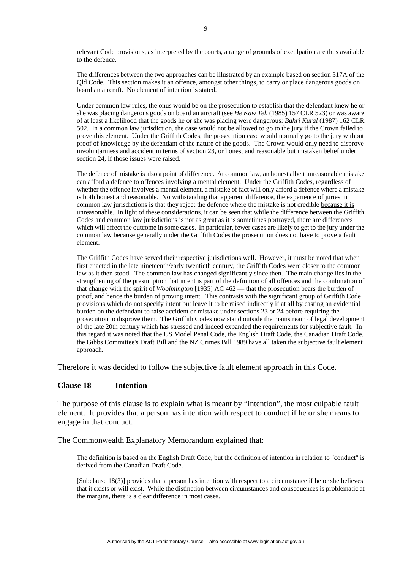relevant Code provisions, as interpreted by the courts, a range of grounds of exculpation are thus available to the defence.

The differences between the two approaches can be illustrated by an example based on section 317A of the Qld Code. This section makes it an offence, amongst other things, to carry or place dangerous goods on board an aircraft. No element of intention is stated.

Under common law rules, the onus would be on the prosecution to establish that the defendant knew he or she was placing dangerous goods on board an aircraft (see *He Kaw Teh* (1985) 157 CLR 523) or was aware of at least a likelihood that the goods he or she was placing were dangerous: *Bahri Kural* (1987) 162 CLR 502. In a common law jurisdiction, the case would not be allowed to go to the jury if the Crown failed to prove this element. Under the Griffith Codes, the prosecution case would normally go to the jury without proof of knowledge by the defendant of the nature of the goods. The Crown would only need to disprove involuntariness and accident in terms of section 23, or honest and reasonable but mistaken belief under section 24, if those issues were raised.

The defence of mistake is also a point of difference. At common law, an honest albeit unreasonable mistake can afford a defence to offences involving a mental element. Under the Griffith Codes, regardless of whether the offence involves a mental element, a mistake of fact will only afford a defence where a mistake is both honest and reasonable. Notwithstanding that apparent difference, the experience of juries in common law jurisdictions is that they reject the defence where the mistake is not credible because it is unreasonable. In light of these considerations, it can be seen that while the difference between the Griffith Codes and common law jurisdictions is not as great as it is sometimes portrayed, there are differences which will affect the outcome in some cases. In particular, fewer cases are likely to get to the jury under the common law because generally under the Griffith Codes the prosecution does not have to prove a fault element.

The Griffith Codes have served their respective jurisdictions well. However, it must be noted that when first enacted in the late nineteenth/early twentieth century, the Griffith Codes were closer to the common law as it then stood. The common law has changed significantly since then. The main change lies in the strengthening of the presumption that intent is part of the definition of all offences and the combination of that change with the spirit of *Woolmington* [1935] AC 462 — that the prosecution bears the burden of proof, and hence the burden of proving intent. This contrasts with the significant group of Griffith Code provisions which do not specify intent but leave it to be raised indirectly if at all by casting an evidential burden on the defendant to raise accident or mistake under sections 23 or 24 before requiring the prosecution to disprove them. The Griffith Codes now stand outside the mainstream of legal development of the late 20th century which has stressed and indeed expanded the requirements for subjective fault. In this regard it was noted that the US Model Penal Code, the English Draft Code, the Canadian Draft Code, the Gibbs Committee's Draft Bill and the NZ Crimes Bill 1989 have all taken the subjective fault element approach.

Therefore it was decided to follow the subjective fault element approach in this Code.

#### **Clause 18 Intention**

The purpose of this clause is to explain what is meant by "intention", the most culpable fault element. It provides that a person has intention with respect to conduct if he or she means to engage in that conduct.

The Commonwealth Explanatory Memorandum explained that:

The definition is based on the English Draft Code, but the definition of intention in relation to "conduct" is derived from the Canadian Draft Code.

[Subclause 18(3)] provides that a person has intention with respect to a circumstance if he or she believes that it exists or will exist.While the distinction between circumstances and consequences is problematic at the margins, there is a clear difference in most cases.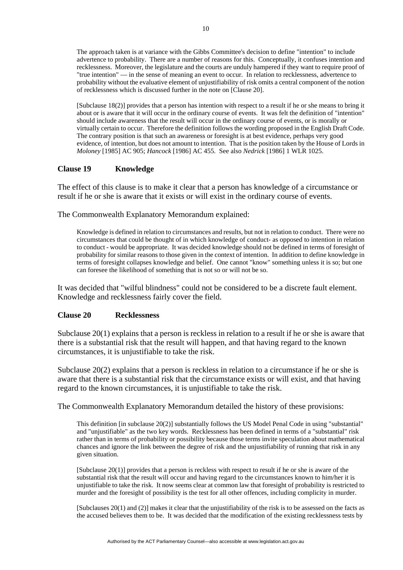The approach taken is at variance with the Gibbs Committee's decision to define "intention" to include advertence to probability. There are a number of reasons for this. Conceptually, it confuses intention and recklessness. Moreover, the legislature and the courts are unduly hampered if they want to require proof of "true intention" — in the sense of meaning an event to occur. In relation to recklessness, advertence to probability without the evaluative element of unjustifiability of risk omits a central component of the notion of recklessness which is discussed further in the note on [Clause 20].

[Subclause 18(2)] provides that a person has intention with respect to a result if he or she means to bring it about or is aware that it will occur in the ordinary course of events. It was felt the definition of "intention" should include awareness that the result will occur in the ordinary course of events, or is morally or virtually certain to occur. Therefore the definition follows the wording proposed in the English Draft Code. The contrary position is that such an awareness or foresight is at best evidence, perhaps very good evidence, of intention, but does not amount to intention. That is the position taken by the House of Lords in *Moloney* [1985] AC 905; *Hancock* [1986] AC 455. See also *Nedrick* [1986] 1 WLR 1025.

#### **Clause 19 Knowledge**

The effect of this clause is to make it clear that a person has knowledge of a circumstance or result if he or she is aware that it exists or will exist in the ordinary course of events.

The Commonwealth Explanatory Memorandum explained:

Knowledge is defined in relation to circumstances and results, but not in relation to conduct. There were no circumstances that could be thought of in which knowledge of conduct- as opposed to intention in relation to conduct - would be appropriate. It was decided knowledge should not be defined in terms of foresight of probability for similar reasons to those given in the context of intention. In addition to define knowledge in terms of foresight collapses knowledge and belief. One cannot "know" something unless it is so; but one can foresee the likelihood of something that is not so or will not be so.

It was decided that "wilful blindness" could not be considered to be a discrete fault element. Knowledge and recklessness fairly cover the field.

## **Clause 20 Recklessness**

Subclause 20(1) explains that a person is reckless in relation to a result if he or she is aware that there is a substantial risk that the result will happen, and that having regard to the known circumstances, it is unjustifiable to take the risk.

Subclause 20(2) explains that a person is reckless in relation to a circumstance if he or she is aware that there is a substantial risk that the circumstance exists or will exist, and that having regard to the known circumstances, it is unjustifiable to take the risk.

The Commonwealth Explanatory Memorandum detailed the history of these provisions:

This definition [in subclause 20(2)] substantially follows the US Model Penal Code in using "substantial" and "unjustifiable" as the two key words. Recklessness has been defined in terms of a "substantial" risk rather than in terms of probability or possibility because those terms invite speculation about mathematical chances and ignore the link between the degree of risk and the unjustifiability of running that risk in any given situation.

[Subclause 20(1)] provides that a person is reckless with respect to result if he or she is aware of the substantial risk that the result will occur and having regard to the circumstances known to him/her it is unjustifiable to take the risk. It now seems clear at common law that foresight of probability is restricted to murder and the foresight of possibility is the test for all other offences, including complicity in murder.

[Subclauses 20(1) and (2)] makes it clear that the unjustifiability of the risk is to be assessed on the facts as the accused believes them to be. It was decided that the modification of the existing recklessness tests by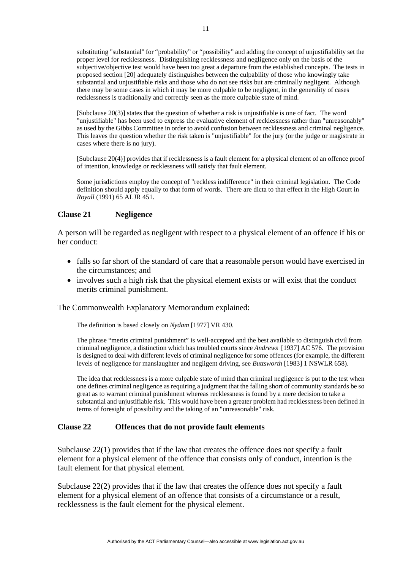substituting "substantial" for "probability" or "possibility" and adding the concept of unjustifiability set the proper level for recklessness. Distinguishing recklessness and negligence only on the basis of the subjective/objective test would have been too great a departure from the established concepts. The tests in proposed section [20] adequately distinguishes between the culpability of those who knowingly take substantial and unjustifiable risks and those who do not see risks but are criminally negligent. Although there may be some cases in which it may be more culpable to be negligent, in the generality of cases recklessness is traditionally and correctly seen as the more culpable state of mind.

[Subclause 20(3)] states that the question of whether a risk is unjustifiable is one of fact. The word "unjustifiable" has been used to express the evaluative element of recklessness rather than "unreasonably" as used by the Gibbs Committee in order to avoid confusion between recklessness and criminal negligence. This leaves the question whether the risk taken is "unjustifiable" for the jury (or the judge or magistrate in cases where there is no jury).

[Subclause 20(4)] provides that if recklessness is a fault element for a physical element of an offence proof of intention, knowledge or recklessness will satisfy that fault element.

Some jurisdictions employ the concept of "reckless indifference" in their criminal legislation. The Code definition should apply equally to that form of words. There are dicta to that effect in the High Court in *Royall* (1991) 65 ALJR 451.

### **Clause 21 Negligence**

A person will be regarded as negligent with respect to a physical element of an offence if his or her conduct:

- falls so far short of the standard of care that a reasonable person would have exercised in the circumstances; and
- involves such a high risk that the physical element exists or will exist that the conduct merits criminal punishment.

The Commonwealth Explanatory Memorandum explained:

The definition is based closely on *Nydam* [1977] VR 430.

The phrase "merits criminal punishment" is well-accepted and the best available to distinguish civil from criminal negligence, a distinction which has troubled courts since *Andrews* [1937] AC 576. The provision is designed to deal with different levels of criminal negligence for some offences (for example, the different levels of negligence for manslaughter and negligent driving, see *Buttsworth* [1983] 1 NSWLR 658).

The idea that recklessness is a more culpable state of mind than criminal negligence is put to the test when one defines criminal negligence as requiring a judgment that the falling short of community standards be so great as to warrant criminal punishment whereas recklessness is found by a mere decision to take a substantial and unjustifiable risk. This would have been a greater problem had recklessness been defined in terms of foresight of possibility and the taking of an "unreasonable" risk.

## **Clause 22 Offences that do not provide fault elements**

Subclause 22(1) provides that if the law that creates the offence does not specify a fault element for a physical element of the offence that consists only of conduct, intention is the fault element for that physical element.

Subclause 22(2) provides that if the law that creates the offence does not specify a fault element for a physical element of an offence that consists of a circumstance or a result, recklessness is the fault element for the physical element.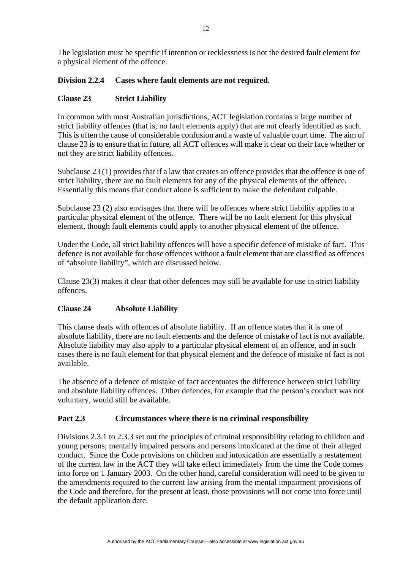The legislation must be specific if intention or recklessness is not the desired fault element for a physical element of the offence.

# **Division 2.2.4 Cases where fault elements are not required.**

# **Clause 23 Strict Liability**

In common with most Australian jurisdictions, ACT legislation contains a large number of strict liability offences (that is, no fault elements apply) that are not clearly identified as such. This is often the cause of considerable confusion and a waste of valuable court time. The aim of clause 23 is to ensure that in future, all ACT offences will make it clear on their face whether or not they are strict liability offences.

Subclause 23 (1) provides that if a law that creates an offence provides that the offence is one of strict liability, there are no fault elements for any of the physical elements of the offence. Essentially this means that conduct alone is sufficient to make the defendant culpable.

Subclause 23 (2) also envisages that there will be offences where strict liability applies to a particular physical element of the offence. There will be no fault element for this physical element, though fault elements could apply to another physical element of the offence.

Under the Code, all strict liability offences will have a specific defence of mistake of fact. This defence is not available for those offences without a fault element that are classified as offences of "absolute liability", which are discussed below.

Clause 23(3) makes it clear that other defences may still be available for use in strict liability offences.

## **Clause 24 Absolute Liability**

This clause deals with offences of absolute liability. If an offence states that it is one of absolute liability, there are no fault elements and the defence of mistake of fact is not available. Absolute liability may also apply to a particular physical element of an offence, and in such cases there is no fault element for that physical element and the defence of mistake of fact is not available.

The absence of a defence of mistake of fact accentuates the difference between strict liability and absolute liability offences. Other defences, for example that the person's conduct was not voluntary, would still be available.

# **Part 2.3 Circumstances where there is no criminal responsibility**

Divisions 2.3.1 to 2.3.3 set out the principles of criminal responsibility relating to children and young persons; mentally impaired persons and persons intoxicated at the time of their alleged conduct. Since the Code provisions on children and intoxication are essentially a restatement of the current law in the ACT they will take effect immediately from the time the Code comes into force on 1 January 2003. On the other hand, careful consideration will need to be given to the amendments required to the current law arising from the mental impairment provisions of the Code and therefore, for the present at least, those provisions will not come into force until the default application date.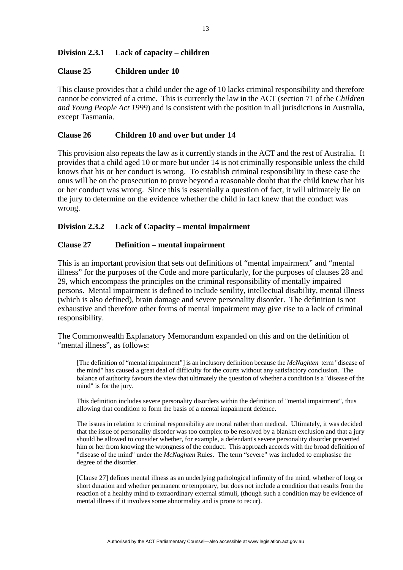# **Division 2.3.1 Lack of capacity – children**

### **Clause 25 Children under 10**

This clause provides that a child under the age of 10 lacks criminal responsibility and therefore cannot be convicted of a crime. This is currently the law in the ACT (section 71 of the *Children and Young People Act 1999*) and is consistent with the position in all jurisdictions in Australia, except Tasmania.

### **Clause 26 Children 10 and over but under 14**

This provision also repeats the law as it currently stands in the ACT and the rest of Australia. It provides that a child aged 10 or more but under 14 is not criminally responsible unless the child knows that his or her conduct is wrong. To establish criminal responsibility in these case the onus will be on the prosecution to prove beyond a reasonable doubt that the child knew that his or her conduct was wrong. Since this is essentially a question of fact, it will ultimately lie on the jury to determine on the evidence whether the child in fact knew that the conduct was wrong.

## **Division 2.3.2 Lack of Capacity – mental impairment**

### **Clause 27 Definition – mental impairment**

This is an important provision that sets out definitions of "mental impairment" and "mental illness" for the purposes of the Code and more particularly, for the purposes of clauses 28 and 29, which encompass the principles on the criminal responsibility of mentally impaired persons. Mental impairment is defined to include senility, intellectual disability, mental illness (which is also defined), brain damage and severe personality disorder. The definition is not exhaustive and therefore other forms of mental impairment may give rise to a lack of criminal responsibility.

The Commonwealth Explanatory Memorandum expanded on this and on the definition of "mental illness", as follows:

[The definition of "mental impairment"] is an inclusory definition because the *McNaghten* term "disease of the mind" has caused a great deal of difficulty for the courts without any satisfactory conclusion. The balance of authority favours the view that ultimately the question of whether a condition is a "disease of the mind" is for the jury.

This definition includes severe personality disorders within the definition of "mental impairment", thus allowing that condition to form the basis of a mental impairment defence.

The issues in relation to criminal responsibility are moral rather than medical. Ultimately, it was decided that the issue of personality disorder was too complex to be resolved by a blanket exclusion and that a jury should be allowed to consider whether, for example, a defendant's severe personality disorder prevented him or her from knowing the wrongness of the conduct. This approach accords with the broad definition of "disease of the mind" under the *McNaghten* Rules. The term "severe" was included to emphasise the degree of the disorder.

[Clause 27] defines mental illness as an underlying pathological infirmity of the mind, whether of long or short duration and whether permanent or temporary, but does not include a condition that results from the reaction of a healthy mind to extraordinary external stimuli, (though such a condition may be evidence of mental illness if it involves some abnormality and is prone to recur).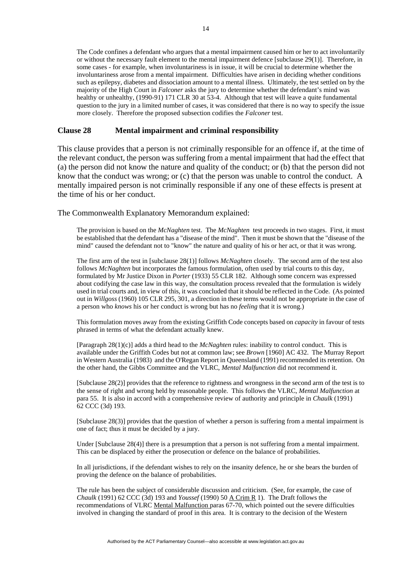The Code confines a defendant who argues that a mental impairment caused him or her to act involuntarily or without the necessary fault element to the mental impairment defence [subclause 29(1)]. Therefore, in some cases - for example, when involuntariness is in issue, it will be crucial to determine whether the involuntariness arose from a mental impairment. Difficulties have arisen in deciding whether conditions such as epilepsy, diabetes and dissociation amount to a mental illness. Ultimately, the test settled on by the majority of the High Court in *Falconer* asks the jury to determine whether the defendant's mind was healthy or unhealthy, (1990-91) 171 CLR 30 at 53-4. Although that test will leave a quite fundamental question to the jury in a limited number of cases, it was considered that there is no way to specify the issue more closely. Therefore the proposed subsection codifies the *Falconer* test.

#### **Clause 28 Mental impairment and criminal responsibility**

This clause provides that a person is not criminally responsible for an offence if, at the time of the relevant conduct, the person was suffering from a mental impairment that had the effect that (a) the person did not know the nature and quality of the conduct; or (b) that the person did not know that the conduct was wrong; or (c) that the person was unable to control the conduct. A mentally impaired person is not criminally responsible if any one of these effects is present at the time of his or her conduct.

The Commonwealth Explanatory Memorandum explained:

The provision is based on the *McNaghten* test. The *McNaghten* test proceeds in two stages. First, it must be established that the defendant has a "disease of the mind". Then it must be shown that the "disease of the mind" caused the defendant not to "know" the nature and quality of his or her act, or that it was wrong.

The first arm of the test in [subclause 28(1)] follows *McNaghten* closely. The second arm of the test also follows *McNaghten* but incorporates the famous formulation, often used by trial courts to this day, formulated by Mr Justice Dixon in *Porter* (1933) 55 CLR 182. Although some concern was expressed about codifying the case law in this way, the consultation process revealed that the formulation is widely used in trial courts and, in view of this, it was concluded that it should be reflected in the Code. (As pointed out in *Willgoss* (1960) 105 CLR 295, 301, a direction in these terms would not be appropriate in the case of a person who *knows* his or her conduct is wrong but has no *feeling* that it is wrong.)

This formulation moves away from the existing Griffith Code concepts based on *capacity* in favour of tests phrased in terms of what the defendant actually knew.

[Paragraph 28(1)(c)] adds a third head to the *McNaghten* rules: inability to control conduct. This is available under the Griffith Codes but not at common law; see *Brown* [1960] AC 432. The Murray Report in Western Australia (1983) and the O'Regan Report in Queensland (1991) recommended its retention. On the other hand, the Gibbs Committee and the VLRC, *Mental Malfunction* did not recommend it.

[Subclause 28(2)] provides that the reference to rightness and wrongness in the second arm of the test is to the sense of right and wrong held by reasonable people. This follows the VLRC, *Mental Malfunction* at para 55. It is also in accord with a comprehensive review of authority and principle in *Chaulk* (1991) 62 CCC (3d) 193.

[Subclause 28(3)] provides that the question of whether a person is suffering from a mental impairment is one of fact; thus it must be decided by a jury.

Under [Subclause 28(4)] there is a presumption that a person is not suffering from a mental impairment. This can be displaced by either the prosecution or defence on the balance of probabilities.

In all jurisdictions, if the defendant wishes to rely on the insanity defence, he or she bears the burden of proving the defence on the balance of probabilities.

The rule has been the subject of considerable discussion and criticism. (See, for example, the case of *Chaulk* (1991) 62 CCC (3d) 193 and *Youssef* (1990) 50 A Crim R 1). The Draft follows the recommendations of VLRC Mental Malfunction paras 67-70, which pointed out the severe difficulties involved in changing the standard of proof in this area. It is contrary to the decision of the Western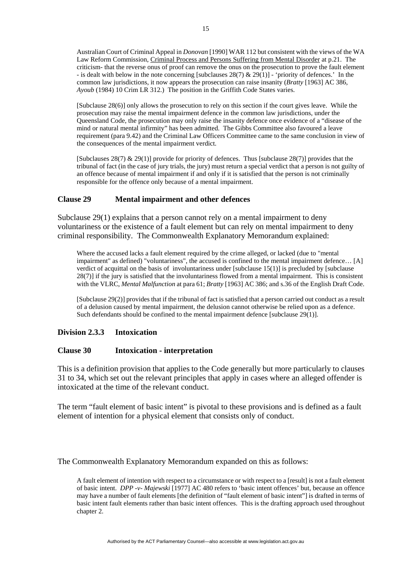Australian Court of Criminal Appeal in *Donovan* [1990] WAR 112 but consistent with the views of the WA Law Reform Commission, Criminal Process and Persons Suffering from Mental Disorder at p.21. The criticism- that the reverse onus of proof can remove the onus on the prosecution to prove the fault element - is dealt with below in the note concerning [subclauses  $28(7)$  &  $29(1)$ ] - 'priority of defences.' In the common law jurisdictions, it now appears the prosecution can raise insanity (*Bratty* [1963] AC 386, *Ayoub* (1984) 10 Crim LR 312.) The position in the Griffith Code States varies.

[Subclause 28(6)] only allows the prosecution to rely on this section if the court gives leave. While the prosecution may raise the mental impairment defence in the common law jurisdictions, under the Queensland Code, the prosecution may only raise the insanity defence once evidence of a "disease of the mind or natural mental infirmity" has been admitted. The Gibbs Committee also favoured a leave requirement (para 9.42) and the Criminal Law Officers Committee came to the same conclusion in view of the consequences of the mental impairment verdict.

[Subclauses 28(7) & 29(1)] provide for priority of defences. Thus [subclause 28(7)] provides that the tribunal of fact (in the case of jury trials, the jury) must return a special verdict that a person is not guilty of an offence because of mental impairment if and only if it is satisfied that the person is not criminally responsible for the offence only because of a mental impairment.

### **Clause 29 Mental impairment and other defences**

Subclause 29(1) explains that a person cannot rely on a mental impairment to deny voluntariness or the existence of a fault element but can rely on mental impairment to deny criminal responsibility. The Commonwealth Explanatory Memorandum explained:

Where the accused lacks a fault element required by the crime alleged, or lacked (due to "mental impairment" as defined) "voluntariness", the accused is confined to the mental impairment defence… [A] verdict of acquittal on the basis of involuntariness under [subclause 15(1)] is precluded by [subclause 28(7)] if the jury is satisfied that the involuntariness flowed from a mental impairment. This is consistent with the VLRC, *Mental Malfunction* at para 61; *Bratty* [1963] AC 386; and s.36 of the English Draft Code.

[Subclause 29(2)] provides that if the tribunal of fact is satisfied that a person carried out conduct as a result of a delusion caused by mental impairment, the delusion cannot otherwise be relied upon as a defence. Such defendants should be confined to the mental impairment defence [subclause 29(1)].

#### **Division 2.3.3 Intoxication**

#### **Clause 30 Intoxication - interpretation**

This is a definition provision that applies to the Code generally but more particularly to clauses 31 to 34, which set out the relevant principles that apply in cases where an alleged offender is intoxicated at the time of the relevant conduct.

The term "fault element of basic intent" is pivotal to these provisions and is defined as a fault element of intention for a physical element that consists only of conduct.

The Commonwealth Explanatory Memorandum expanded on this as follows:

A fault element of intention with respect to a circumstance or with respect to a [result] is not a fault element of basic intent. *DPP -v- Majewski* [1977] AC 480 refers to 'basic intent offences' but, because an offence may have a number of fault elements [the definition of "fault element of basic intent"] is drafted in terms of basic intent fault elements rather than basic intent offences. This is the drafting approach used throughout chapter 2.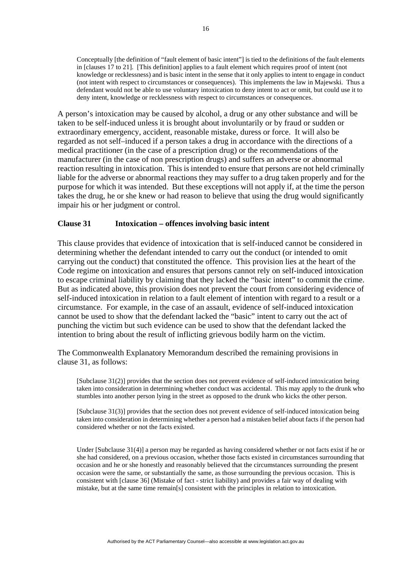Conceptually [the definition of "fault element of basic intent"] is tied to the definitions of the fault elements in [clauses 17 to 21]. [This definition] applies to a fault element which requires proof of intent (not knowledge or recklessness) and is basic intent in the sense that it only applies to intent to engage in conduct (not intent with respect to circumstances or consequences). This implements the law in Majewski. Thus a defendant would not be able to use voluntary intoxication to deny intent to act or omit, but could use it to deny intent, knowledge or recklessness with respect to circumstances or consequences.

A person's intoxication may be caused by alcohol, a drug or any other substance and will be taken to be self-induced unless it is brought about involuntarily or by fraud or sudden or extraordinary emergency, accident, reasonable mistake, duress or force. It will also be regarded as not self–induced if a person takes a drug in accordance with the directions of a medical practitioner (in the case of a prescription drug) or the recommendations of the manufacturer (in the case of non prescription drugs) and suffers an adverse or abnormal reaction resulting in intoxication. This is intended to ensure that persons are not held criminally liable for the adverse or abnormal reactions they may suffer to a drug taken properly and for the purpose for which it was intended. But these exceptions will not apply if, at the time the person takes the drug, he or she knew or had reason to believe that using the drug would significantly impair his or her judgment or control.

### **Clause 31 Intoxication – offences involving basic intent**

This clause provides that evidence of intoxication that is self-induced cannot be considered in determining whether the defendant intended to carry out the conduct (or intended to omit carrying out the conduct) that constituted the offence. This provision lies at the heart of the Code regime on intoxication and ensures that persons cannot rely on self-induced intoxication to escape criminal liability by claiming that they lacked the "basic intent" to commit the crime. But as indicated above, this provision does not prevent the court from considering evidence of self-induced intoxication in relation to a fault element of intention with regard to a result or a circumstance. For example, in the case of an assault, evidence of self-induced intoxication cannot be used to show that the defendant lacked the "basic" intent to carry out the act of punching the victim but such evidence can be used to show that the defendant lacked the intention to bring about the result of inflicting grievous bodily harm on the victim.

The Commonwealth Explanatory Memorandum described the remaining provisions in clause 31, as follows:

[Subclause 31(2)] provides that the section does not prevent evidence of self-induced intoxication being taken into consideration in determining whether conduct was accidental. This may apply to the drunk who stumbles into another person lying in the street as opposed to the drunk who kicks the other person.

[Subclause 31(3)] provides that the section does not prevent evidence of self-induced intoxication being taken into consideration in determining whether a person had a mistaken belief about facts if the person had considered whether or not the facts existed.

Under [Subclause 31(4)] a person may be regarded as having considered whether or not facts exist if he or she had considered, on a previous occasion, whether those facts existed in circumstances surrounding that occasion and he or she honestly and reasonably believed that the circumstances surrounding the present occasion were the same, or substantially the same, as those surrounding the previous occasion. This is consistent with [clause 36] (Mistake of fact - strict liability) and provides a fair way of dealing with mistake, but at the same time remain[s] consistent with the principles in relation to intoxication.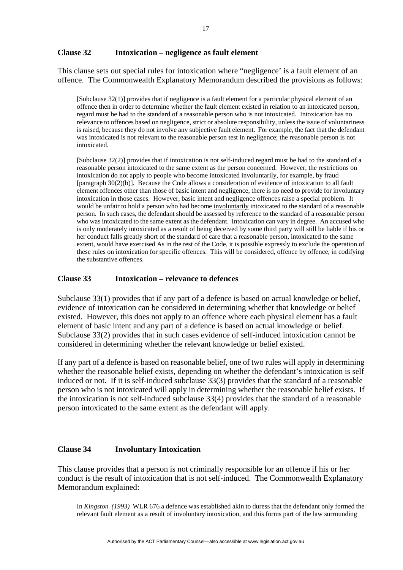#### **Clause 32 Intoxication – negligence as fault element**

This clause sets out special rules for intoxication where "negligence' is a fault element of an offence. The Commonwealth Explanatory Memorandum described the provisions as follows:

[Subclause 32(1)] provides that if negligence is a fault element for a particular physical element of an offence then in order to determine whether the fault element existed in relation to an intoxicated person, regard must be had to the standard of a reasonable person who is not intoxicated. Intoxication has no relevance to offences based on negligence, strict or absolute responsibility, unless the issue of voluntariness is raised, because they do not involve any subjective fault element. For example, the fact that the defendant was intoxicated is not relevant to the reasonable person test in negligence; the reasonable person is not intoxicated.

[Subclause 32(2)] provides that if intoxication is not self-induced regard must be had to the standard of a reasonable person intoxicated to the same extent as the person concerned. However, the restrictions on intoxication do not apply to people who become intoxicated involuntarily, for example, by fraud [paragraph 30(2)(b)]. Because the Code allows a consideration of evidence of intoxication to all fault element offences other than those of basic intent and negligence, there is no need to provide for involuntary intoxication in those cases. However, basic intent and negligence offences raise a special problem. It would be unfair to hold a person who had become involuntarily intoxicated to the standard of a reasonable person. In such cases, the defendant should be assessed by reference to the standard of a reasonable person who was intoxicated to the same extent as the defendant. Intoxication can vary in degree. An accused who is only moderately intoxicated as a result of being deceived by some third party will still be liable if his or her conduct falls greatly short of the standard of care that a reasonable person, intoxicated to the same extent, would have exercised As in the rest of the Code, it is possible expressly to exclude the operation of these rules on intoxication for specific offences. This will be considered, offence by offence, in codifying the substantive offences.

## **Clause 33 Intoxication – relevance to defences**

Subclause 33(1) provides that if any part of a defence is based on actual knowledge or belief, evidence of intoxication can be considered in determining whether that knowledge or belief existed. However, this does not apply to an offence where each physical element has a fault element of basic intent and any part of a defence is based on actual knowledge or belief. Subclause 33(2) provides that in such cases evidence of self-induced intoxication cannot be considered in determining whether the relevant knowledge or belief existed.

If any part of a defence is based on reasonable belief, one of two rules will apply in determining whether the reasonable belief exists, depending on whether the defendant's intoxication is self induced or not. If it is self-induced subclause 33(3) provides that the standard of a reasonable person who is not intoxicated will apply in determining whether the reasonable belief exists. If the intoxication is not self-induced subclause 33(4) provides that the standard of a reasonable person intoxicated to the same extent as the defendant will apply.

## **Clause 34 Involuntary Intoxication**

This clause provides that a person is not criminally responsible for an offence if his or her conduct is the result of intoxication that is not self-induced. The Commonwealth Explanatory Memorandum explained:

In *Kingston (1993)* WLR 676 a defence was established akin to duress that the defendant only formed the relevant fault element as a result of involuntary intoxication, and this forms part of the law surrounding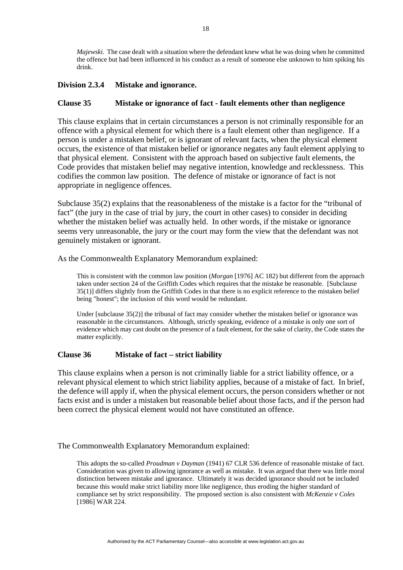*Majewski.* The case dealt with a situation where the defendant knew what he was doing when he committed the offence but had been influenced in his conduct as a result of someone else unknown to him spiking his drink.

## **Division 2.3.4 Mistake and ignorance.**

### **Clause 35 Mistake or ignorance of fact - fault elements other than negligence**

This clause explains that in certain circumstances a person is not criminally responsible for an offence with a physical element for which there is a fault element other than negligence. If a person is under a mistaken belief, or is ignorant of relevant facts, when the physical element occurs, the existence of that mistaken belief or ignorance negates any fault element applying to that physical element. Consistent with the approach based on subjective fault elements, the Code provides that mistaken belief may negative intention, knowledge and recklessness. This codifies the common law position. The defence of mistake or ignorance of fact is not appropriate in negligence offences.

Subclause 35(2) explains that the reasonableness of the mistake is a factor for the "tribunal of fact" (the jury in the case of trial by jury, the court in other cases) to consider in deciding whether the mistaken belief was actually held. In other words, if the mistake or ignorance seems very unreasonable, the jury or the court may form the view that the defendant was not genuinely mistaken or ignorant.

As the Commonwealth Explanatory Memorandum explained:

This is consistent with the common law position (*Morgan* [1976] AC 182) but different from the approach taken under section 24 of the Griffith Codes which requires that the mistake be reasonable. [Subclause 35(1)] differs slightly from the Griffith Codes in that there is no explicit reference to the mistaken belief being "honest"; the inclusion of this word would be redundant.

Under [subclause 35(2)] the tribunal of fact may consider whether the mistaken belief or ignorance was reasonable in the circumstances. Although, strictly speaking, evidence of a mistake is only one sort of evidence which may cast doubt on the presence of a fault element, for the sake of clarity, the Code states the matter explicitly.

#### **Clause 36 Mistake of fact – strict liability**

This clause explains when a person is not criminally liable for a strict liability offence, or a relevant physical element to which strict liability applies, because of a mistake of fact. In brief, the defence will apply if, when the physical element occurs, the person considers whether or not facts exist and is under a mistaken but reasonable belief about those facts, and if the person had been correct the physical element would not have constituted an offence.

#### The Commonwealth Explanatory Memorandum explained:

This adopts the so-called *Proudman v Dayman* (1941) 67 CLR 536 defence of reasonable mistake of fact. Consideration was given to allowing ignorance as well as mistake. It was argued that there was little moral distinction between mistake and ignorance. Ultimately it was decided ignorance should not be included because this would make strict liability more like negligence, thus eroding the higher standard of compliance set by strict responsibility. The proposed section is also consistent with *McKenzie v Coles* [1986] WAR 224.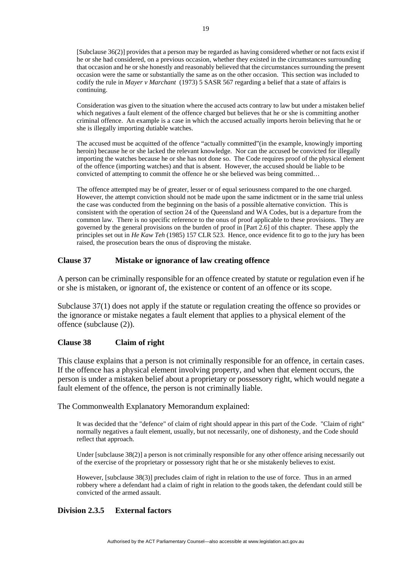[Subclause 36(2)] provides that a person may be regarded as having considered whether or not facts exist if he or she had considered, on a previous occasion, whether they existed in the circumstances surrounding that occasion and he or she honestly and reasonably believed that the circumstances surrounding the present occasion were the same or substantially the same as on the other occasion. This section was included to codify the rule in *Mayer v Marchant* (1973) 5 SASR 567 regarding a belief that a state of affairs is continuing.

Consideration was given to the situation where the accused acts contrary to law but under a mistaken belief which negatives a fault element of the offence charged but believes that he or she is committing another criminal offence. An example is a case in which the accused actually imports heroin believing that he or she is illegally importing dutiable watches.

The accused must be acquitted of the offence "actually committed"(in the example, knowingly importing heroin) because he or she lacked the relevant knowledge. Nor can the accused be convicted for illegally importing the watches because he or she has not done so. The Code requires proof of the physical element of the offence (importing watches) and that is absent. However, the accused should be liable to be convicted of attempting to commit the offence he or she believed was being committed…

The offence attempted may be of greater, lesser or of equal seriousness compared to the one charged. However, the attempt conviction should not be made upon the same indictment or in the same trial unless the case was conducted from the beginning on the basis of a possible alternative conviction. This is consistent with the operation of section 24 of the Queensland and WA Codes, but is a departure from the common law. There is no specific reference to the onus of proof applicable to these provisions. They are governed by the general provisions on the burden of proof in [Part 2.6] of this chapter. These apply the principles set out in *He Kaw Teh* (1985) 157 CLR 523. Hence, once evidence fit to go to the jury has been raised, the prosecution bears the onus of disproving the mistake.

## **Clause 37 Mistake or ignorance of law creating offence**

A person can be criminally responsible for an offence created by statute or regulation even if he or she is mistaken, or ignorant of, the existence or content of an offence or its scope.

Subclause 37(1) does not apply if the statute or regulation creating the offence so provides or the ignorance or mistake negates a fault element that applies to a physical element of the offence (subclause (2)).

## **Clause 38 Claim of right**

This clause explains that a person is not criminally responsible for an offence, in certain cases. If the offence has a physical element involving property, and when that element occurs, the person is under a mistaken belief about a proprietary or possessory right, which would negate a fault element of the offence, the person is not criminally liable.

The Commonwealth Explanatory Memorandum explained:

It was decided that the "defence" of claim of right should appear in this part of the Code. "Claim of right" normally negatives a fault element, usually, but not necessarily, one of dishonesty, and the Code should reflect that approach.

Under [subclause 38(2)] a person is not criminally responsible for any other offence arising necessarily out of the exercise of the proprietary or possessory right that he or she mistakenly believes to exist.

However, [subclause 38(3)] precludes claim of right in relation to the use of force. Thus in an armed robbery where a defendant had a claim of right in relation to the goods taken, the defendant could still be convicted of the armed assault.

# **Division 2.3.5 External factors**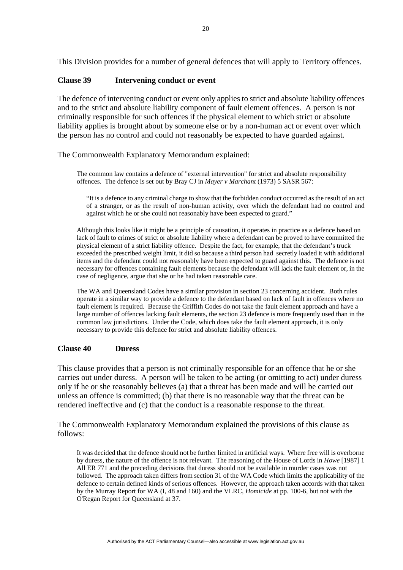This Division provides for a number of general defences that will apply to Territory offences.

### **Clause 39 Intervening conduct or event**

The defence of intervening conduct or event only applies to strict and absolute liability offences and to the strict and absolute liability component of fault element offences. A person is not criminally responsible for such offences if the physical element to which strict or absolute liability applies is brought about by someone else or by a non-human act or event over which the person has no control and could not reasonably be expected to have guarded against.

The Commonwealth Explanatory Memorandum explained:

The common law contains a defence of "external intervention" for strict and absolute responsibility offences. The defence is set out by Bray CJ in *Mayer v Marchant* (1973) 5 SASR 567:

"It is a defence to any criminal charge to show that the forbidden conduct occurred as the result of an act of a stranger, or as the result of non-human activity, over which the defendant had no control and against which he or she could not reasonably have been expected to guard."

Although this looks like it might be a principle of causation, it operates in practice as a defence based on lack of fault to crimes of strict or absolute liability where a defendant can be proved to have committed the physical element of a strict liability offence. Despite the fact, for example, that the defendant's truck exceeded the prescribed weight limit, it did so because a third person had secretly loaded it with additional items and the defendant could not reasonably have been expected to guard against this. The defence is not necessary for offences containing fault elements because the defendant will lack the fault element or, in the case of negligence, argue that she or he had taken reasonable care.

The WA and Queensland Codes have a similar provision in section 23 concerning accident. Both rules operate in a similar way to provide a defence to the defendant based on lack of fault in offences where no fault element is required. Because the Griffith Codes do not take the fault element approach and have a large number of offences lacking fault elements, the section 23 defence is more frequently used than in the common law jurisdictions. Under the Code, which does take the fault element approach, it is only necessary to provide this defence for strict and absolute liability offences.

#### **Clause 40 Duress**

This clause provides that a person is not criminally responsible for an offence that he or she carries out under duress. A person will be taken to be acting (or omitting to act) under duress only if he or she reasonably believes (a) that a threat has been made and will be carried out unless an offence is committed; (b) that there is no reasonable way that the threat can be rendered ineffective and (c) that the conduct is a reasonable response to the threat.

The Commonwealth Explanatory Memorandum explained the provisions of this clause as follows:

It was decided that the defence should not be further limited in artificial ways. Where free will is overborne by duress, the nature of the offence is not relevant. The reasoning of the House of Lords in *Howe* [1987] 1 All ER 771 and the preceding decisions that duress should not be available in murder cases was not followed. The approach taken differs from section 31 of the WA Code which limits the applicability of the defence to certain defined kinds of serious offences. However, the approach taken accords with that taken by the Murray Report for WA (I, 48 and 160) and the VLRC, *Homicide* at pp. 100-6, but not with the O'Regan Report for Queensland at 37.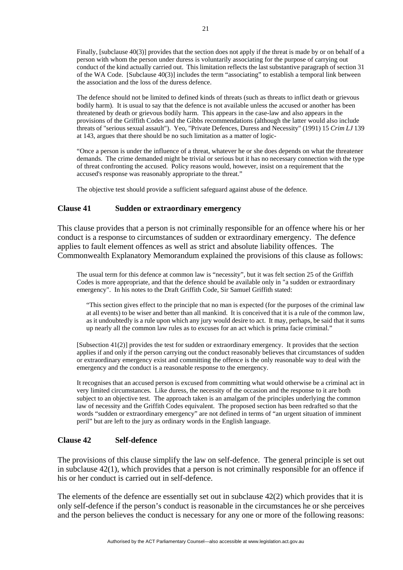Finally, [subclause 40(3)] provides that the section does not apply if the threat is made by or on behalf of a person with whom the person under duress is voluntarily associating for the purpose of carrying out conduct of the kind actually carried out. This limitation reflects the last substantive paragraph of section 31 of the WA Code. [Subclause 40(3)] includes the term "associating" to establish a temporal link between the association and the loss of the duress defence.

The defence should not be limited to defined kinds of threats (such as threats to inflict death or grievous bodily harm). It is usual to say that the defence is not available unless the accused or another has been threatened by death or grievous bodily harm. This appears in the case-law and also appears in the provisions of the Griffith Codes and the Gibbs recommendations (although the latter would also include threats of "serious sexual assault"). Yeo, "Private Defences, Duress and Necessity" (1991) 15 *Crim LJ* 139 at 143, argues that there should be no such limitation as a matter of logic-

"Once a person is under the influence of a threat, whatever he or she does depends on what the threatener demands. The crime demanded might be trivial or serious but it has no necessary connection with the type of threat confronting the accused. Policy reasons would, however, insist on a requirement that the accused's response was reasonably appropriate to the threat."

The objective test should provide a sufficient safeguard against abuse of the defence.

### **Clause 41 Sudden or extraordinary emergency**

This clause provides that a person is not criminally responsible for an offence where his or her conduct is a response to circumstances of sudden or extraordinary emergency. The defence applies to fault element offences as well as strict and absolute liability offences. The Commonwealth Explanatory Memorandum explained the provisions of this clause as follows:

The usual term for this defence at common law is "necessity", but it was felt section 25 of the Griffith Codes is more appropriate, and that the defence should be available only in "a sudden or extraordinary emergency". In his notes to the Draft Griffith Code, Sir Samuel Griffith stated:

"This section gives effect to the principle that no man is expected (for the purposes of the criminal law at all events) to be wiser and better than all mankind. It is conceived that it is a rule of the common law, as it undoubtedly is a rule upon which any jury would desire to act. It may, perhaps, be said that it sums up nearly all the common law rules as to excuses for an act which is prima facie criminal."

[Subsection 41(2)] provides the test for sudden or extraordinary emergency. It provides that the section applies if and only if the person carrying out the conduct reasonably believes that circumstances of sudden or extraordinary emergency exist and committing the offence is the only reasonable way to deal with the emergency and the conduct is a reasonable response to the emergency.

It recognises that an accused person is excused from committing what would otherwise be a criminal act in very limited circumstances. Like duress, the necessity of the occasion and the response to it are both subject to an objective test. The approach taken is an amalgam of the principles underlying the common law of necessity and the Griffith Codes equivalent. The proposed section has been redrafted so that the words "sudden or extraordinary emergency" are not defined in terms of "an urgent situation of imminent peril" but are left to the jury as ordinary words in the English language.

#### **Clause 42 Self-defence**

The provisions of this clause simplify the law on self-defence. The general principle is set out in subclause 42(1), which provides that a person is not criminally responsible for an offence if his or her conduct is carried out in self-defence.

The elements of the defence are essentially set out in subclause 42(2) which provides that it is only self-defence if the person's conduct is reasonable in the circumstances he or she perceives and the person believes the conduct is necessary for any one or more of the following reasons: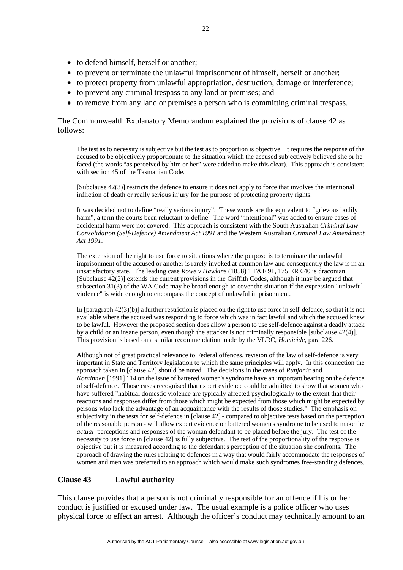- to defend himself, herself or another;
- to prevent or terminate the unlawful imprisonment of himself, herself or another;
- to protect property from unlawful appropriation, destruction, damage or interference;
- to prevent any criminal trespass to any land or premises; and
- to remove from any land or premises a person who is committing criminal trespass.

The Commonwealth Explanatory Memorandum explained the provisions of clause 42 as follows:

The test as to necessity is subjective but the test as to proportion is objective. It requires the response of the accused to be objectively proportionate to the situation which the accused subjectively believed she or he faced (the words "as perceived by him or her" were added to make this clear). This approach is consistent with section 45 of the Tasmanian Code.

[Subclause 42(3)] restricts the defence to ensure it does not apply to force that involves the intentional infliction of death or really serious injury for the purpose of protecting property rights.

It was decided not to define "really serious injury". These words are the equivalent to "grievous bodily harm", a term the courts been reluctant to define. The word "intentional" was added to ensure cases of accidental harm were not covered. This approach is consistent with the South Australian *Criminal Law Consolidation (Self-Defence) Amendment Act 1991* and the Western Australian *Criminal Law Amendment Act 1991*.

The extension of the right to use force to situations where the purpose is to terminate the unlawful imprisonment of the accused or another is rarely invoked at common law and consequently the law is in an unsatisfactory state. The leading case *Rowe v Hawkins* (1858) 1 F&F 91, 175 ER 640 is draconian. [Subclause 42(2)] extends the current provisions in the Griffith Codes, although it may be argued that subsection 31(3) of the WA Code may be broad enough to cover the situation if the expression "unlawful violence" is wide enough to encompass the concept of unlawful imprisonment.

In [paragraph 42(3)(b)] a further restriction is placed on the right to use force in self-defence, so that it is not available where the accused was responding to force which was in fact lawful and which the accused knew to be lawful. However the proposed section does allow a person to use self-defence against a deadly attack by a child or an insane person, even though the attacker is not criminally responsible [subclause 42(4)]. This provision is based on a similar recommendation made by the VLRC, *Homicide*, para 226.

Although not of great practical relevance to Federal offences, revision of the law of self-defence is very important in State and Territory legislation to which the same principles will apply. In this connection the approach taken in [clause 42] should be noted. The decisions in the cases of *Runjanic* and *Kontinnen* [1991] 114 on the issue of battered women's syndrome have an important bearing on the defence of self-defence. Those cases recognised that expert evidence could be admitted to show that women who have suffered "habitual domestic violence are typically affected psychologically to the extent that their reactions and responses differ from those which might be expected from those which might be expected by persons who lack the advantage of an acquaintance with the results of those studies." The emphasis on subjectivity in the tests for self-defence in [clause 42] - compared to objective tests based on the perception of the reasonable person - will allow expert evidence on battered women's syndrome to be used to make the *actual* perceptions and responses of the woman defendant to be placed before the jury. The test of the necessity to use force in [clause 42] is fully subjective. The test of the proportionality of the response is objective but it is measured according to the defendant's perception of the situation she confronts. The approach of drawing the rules relating to defences in a way that would fairly accommodate the responses of women and men was preferred to an approach which would make such syndromes free-standing defences.

## **Clause 43 Lawful authority**

This clause provides that a person is not criminally responsible for an offence if his or her conduct is justified or excused under law. The usual example is a police officer who uses physical force to effect an arrest. Although the officer's conduct may technically amount to an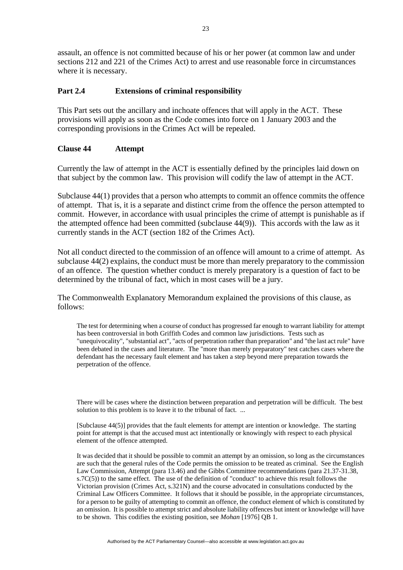assault, an offence is not committed because of his or her power (at common law and under sections 212 and 221 of the Crimes Act) to arrest and use reasonable force in circumstances where it is necessary.

# **Part 2.4 Extensions of criminal responsibility**

This Part sets out the ancillary and inchoate offences that will apply in the ACT. These provisions will apply as soon as the Code comes into force on 1 January 2003 and the corresponding provisions in the Crimes Act will be repealed.

## **Clause 44 Attempt**

Currently the law of attempt in the ACT is essentially defined by the principles laid down on that subject by the common law. This provision will codify the law of attempt in the ACT.

Subclause 44(1) provides that a person who attempts to commit an offence commits the offence of attempt. That is, it is a separate and distinct crime from the offence the person attempted to commit. However, in accordance with usual principles the crime of attempt is punishable as if the attempted offence had been committed (subclause 44(9)). This accords with the law as it currently stands in the ACT (section 182 of the Crimes Act).

Not all conduct directed to the commission of an offence will amount to a crime of attempt. As subclause 44(2) explains, the conduct must be more than merely preparatory to the commission of an offence. The question whether conduct is merely preparatory is a question of fact to be determined by the tribunal of fact, which in most cases will be a jury.

The Commonwealth Explanatory Memorandum explained the provisions of this clause, as follows:

The test for determining when a course of conduct has progressed far enough to warrant liability for attempt has been controversial in both Griffith Codes and common law jurisdictions. Tests such as "unequivocality", "substantial act", "acts of perpetration rather than preparation" and "the last act rule" have been debated in the cases and literature. The "more than merely preparatory" test catches cases where the defendant has the necessary fault element and has taken a step beyond mere preparation towards the perpetration of the offence.

There will be cases where the distinction between preparation and perpetration will be difficult. The best solution to this problem is to leave it to the tribunal of fact. ...

[Subclause 44(5)] provides that the fault elements for attempt are intention or knowledge. The starting point for attempt is that the accused must act intentionally or knowingly with respect to each physical element of the offence attempted.

It was decided that it should be possible to commit an attempt by an omission, so long as the circumstances are such that the general rules of the Code permits the omission to be treated as criminal. See the English Law Commission, Attempt (para 13.46) and the Gibbs Committee recommendations (para 21.37-31.38,  $s.7C(5)$ ) to the same effect. The use of the definition of "conduct" to achieve this result follows the Victorian provision (Crimes Act, s.321N) and the course advocated in consultations conducted by the Criminal Law Officers Committee. It follows that it should be possible, in the appropriate circumstances, for a person to be guilty of attempting to commit an offence, the conduct element of which is constituted by an omission. It is possible to attempt strict and absolute liability offences but intent or knowledge will have to be shown. This codifies the existing position, see *Mohan* [1976] QB 1.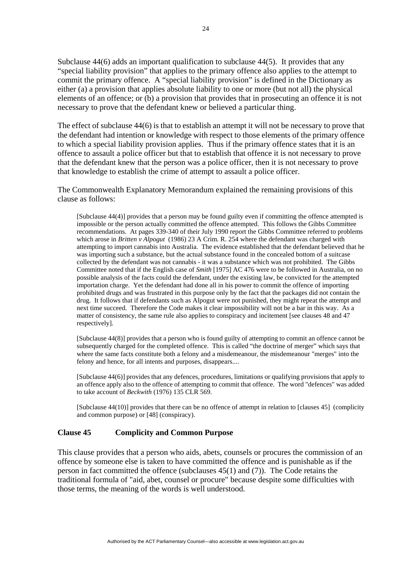Subclause 44(6) adds an important qualification to subclause 44(5). It provides that any "special liability provision" that applies to the primary offence also applies to the attempt to commit the primary offence. A "special liability provision" is defined in the Dictionary as either (a) a provision that applies absolute liability to one or more (but not all) the physical elements of an offence; or (b) a provision that provides that in prosecuting an offence it is not necessary to prove that the defendant knew or believed a particular thing.

The effect of subclause 44(6) is that to establish an attempt it will not be necessary to prove that the defendant had intention or knowledge with respect to those elements of the primary offence to which a special liability provision applies. Thus if the primary offence states that it is an offence to assault a police officer but that to establish that offence it is not necessary to prove that the defendant knew that the person was a police officer, then it is not necessary to prove that knowledge to establish the crime of attempt to assault a police officer.

The Commonwealth Explanatory Memorandum explained the remaining provisions of this clause as follows:

[Subclause 44(4)] provides that a person may be found guilty even if committing the offence attempted is impossible or the person actually committed the offence attempted. This follows the Gibbs Committee recommendations. At pages 339-340 of their July 1990 report the Gibbs Committee referred to problems which arose in *Britten v Alpogut* (1986) 23 A Crim. R. 254 where the defendant was charged with attempting to import cannabis into Australia. The evidence established that the defendant believed that he was importing such a substance, but the actual substance found in the concealed bottom of a suitcase collected by the defendant was not cannabis - it was a substance which was not prohibited. The Gibbs Committee noted that if the English case of *Smith* [1975] AC 476 were to be followed in Australia, on no possible analysis of the facts could the defendant, under the existing law, be convicted for the attempted importation charge. Yet the defendant had done all in his power to commit the offence of importing prohibited drugs and was frustrated in this purpose only by the fact that the packages did not contain the drug. It follows that if defendants such as Alpogut were not punished, they might repeat the attempt and next time succeed. Therefore the Code makes it clear impossibility will not be a bar in this way. As a matter of consistency, the same rule also applies to conspiracy and incitement [see clauses 48 and 47 respectively].

[Subclause 44(8)] provides that a person who is found guilty of attempting to commit an offence cannot be subsequently charged for the completed offence. This is called "the doctrine of merger" which says that where the same facts constitute both a felony and a misdemeanour, the misdemeanour "merges" into the felony and hence, for all intents and purposes, disappears....

[Subclause 44(6)] provides that any defences, procedures, limitations or qualifying provisions that apply to an offence apply also to the offence of attempting to commit that offence. The word "defences" was added to take account of *Beckwith* (1976) 135 CLR 569.

[Subclause 44(10)] provides that there can be no offence of attempt in relation to [clauses 45] (complicity and common purpose) or [48] (conspiracy).

## **Clause 45 Complicity and Common Purpose**

This clause provides that a person who aids, abets, counsels or procures the commission of an offence by someone else is taken to have committed the offence and is punishable as if the person in fact committed the offence (subclauses 45(1) and (7)). The Code retains the traditional formula of "aid, abet, counsel or procure" because despite some difficulties with those terms, the meaning of the words is well understood.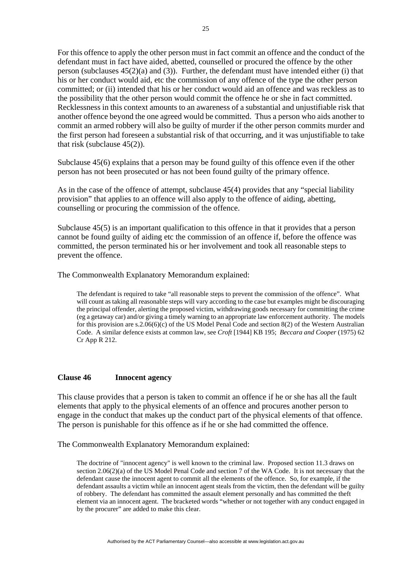For this offence to apply the other person must in fact commit an offence and the conduct of the defendant must in fact have aided, abetted, counselled or procured the offence by the other person (subclauses 45(2)(a) and (3)). Further, the defendant must have intended either (i) that his or her conduct would aid, etc the commission of any offence of the type the other person committed; or (ii) intended that his or her conduct would aid an offence and was reckless as to the possibility that the other person would commit the offence he or she in fact committed. Recklessness in this context amounts to an awareness of a substantial and unjustifiable risk that another offence beyond the one agreed would be committed. Thus a person who aids another to commit an armed robbery will also be guilty of murder if the other person commits murder and the first person had foreseen a substantial risk of that occurring, and it was unjustifiable to take that risk (subclause  $45(2)$ ).

Subclause 45(6) explains that a person may be found guilty of this offence even if the other person has not been prosecuted or has not been found guilty of the primary offence.

As in the case of the offence of attempt, subclause 45(4) provides that any "special liability provision" that applies to an offence will also apply to the offence of aiding, abetting, counselling or procuring the commission of the offence.

Subclause 45(5) is an important qualification to this offence in that it provides that a person cannot be found guilty of aiding etc the commission of an offence if, before the offence was committed, the person terminated his or her involvement and took all reasonable steps to prevent the offence.

The Commonwealth Explanatory Memorandum explained:

The defendant is required to take "all reasonable steps to prevent the commission of the offence". What will count as taking all reasonable steps will vary according to the case but examples might be discouraging the principal offender, alerting the proposed victim, withdrawing goods necessary for committing the crime (eg a getaway car) and/or giving a timely warning to an appropriate law enforcement authority. The models for this provision are s.2.06(6)(c) of the US Model Penal Code and section 8(2) of the Western Australian Code. A similar defence exists at common law, see *Croft* [1944] KB 195; *Beccara and Cooper* (1975) 62 Cr App R 212.

### **Clause 46 Innocent agency**

This clause provides that a person is taken to commit an offence if he or she has all the fault elements that apply to the physical elements of an offence and procures another person to engage in the conduct that makes up the conduct part of the physical elements of that offence. The person is punishable for this offence as if he or she had committed the offence.

The Commonwealth Explanatory Memorandum explained:

The doctrine of "innocent agency" is well known to the criminal law. Proposed section 11.3 draws on section 2.06(2)(a) of the US Model Penal Code and section 7 of the WA Code. It is not necessary that the defendant cause the innocent agent to commit all the elements of the offence. So, for example, if the defendant assaults a victim while an innocent agent steals from the victim, then the defendant will be guilty of robbery. The defendant has committed the assault element personally and has committed the theft element via an innocent agent. The bracketed words "whether or not together with any conduct engaged in by the procurer" are added to make this clear.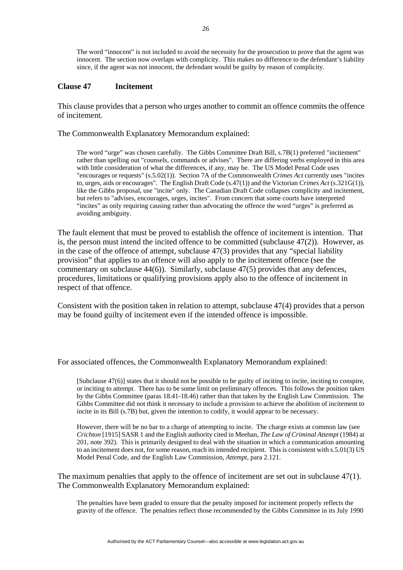The word "innocent" is not included to avoid the necessity for the prosecution to prove that the agent was innocent. The section now overlaps with complicity. This makes no difference to the defendant's liability since, if the agent was not innocent, the defendant would be guilty by reason of complicity.

#### **Clause 47 Incitement**

This clause provides that a person who urges another to commit an offence commits the offence of incitement.

The Commonwealth Explanatory Memorandum explained:

The word "urge" was chosen carefully. The Gibbs Committee Draft Bill, s.7B(1) preferred "incitement" rather than spelling out "counsels, commands or advises". There are differing verbs employed in this area with little consideration of what the differences, if any, may be. The US Model Penal Code uses "encourages or requests" (s.5.02(1)). Section 7A of the Commonwealth *Crimes Act* currently uses "incites to, urges, aids or encourages". The English Draft Code (s.47(1)) and the Victorian *Crimes Act* (s.321G(1)), like the Gibbs proposal, use "incite" only. The Canadian Draft Code collapses complicity and incitement, but refers to "advises, encourages, urges, incites". From concern that some courts have interpreted "incites" as only requiring causing rather than advocating the offence the word "urges" is preferred as avoiding ambiguity.

The fault element that must be proved to establish the offence of incitement is intention. That is, the person must intend the incited offence to be committed (subclause 47(2)). However, as in the case of the offence of attempt, subclause 47(3) provides that any "special liability provision" that applies to an offence will also apply to the incitement offence (see the commentary on subclause 44(6)). Similarly, subclause 47(5) provides that any defences, procedures, limitations or qualifying provisions apply also to the offence of incitement in respect of that offence.

Consistent with the position taken in relation to attempt, subclause 47(4) provides that a person may be found guilty of incitement even if the intended offence is impossible.

For associated offences, the Commonwealth Explanatory Memorandum explained:

[Subclause 47(6)] states that it should not be possible to be guilty of inciting to incite, inciting to conspire, or inciting to attempt. There has to be some limit on preliminary offences. This follows the position taken by the Gibbs Committee (paras 18.41-18.46) rather than that taken by the English Law Commission. The Gibbs Committee did not think it necessary to include a provision to achieve the abolition of incitement to incite in its Bill (s.7B) but, given the intention to codify, it would appear to be necessary.

However, there will be no bar to a charge of attempting to incite. The charge exists at common law (see *Crichton* [1915] SASR 1 and the English authority cited in Meehan, *The Law of Criminal Attempt* (1984) at 201, note 392). This is primarily designed to deal with the situation in which a communication amounting to an incitement does not, for some reason, reach its intended recipient. This is consistent with s.5.01(3) US Model Penal Code, and the English Law Commission, *Attempt,* para 2.121.

The maximum penalties that apply to the offence of incitement are set out in subclause  $47(1)$ . The Commonwealth Explanatory Memorandum explained:

The penalties have been graded to ensure that the penalty imposed for incitement properly reflects the gravity of the offence. The penalties reflect those recommended by the Gibbs Committee in its July 1990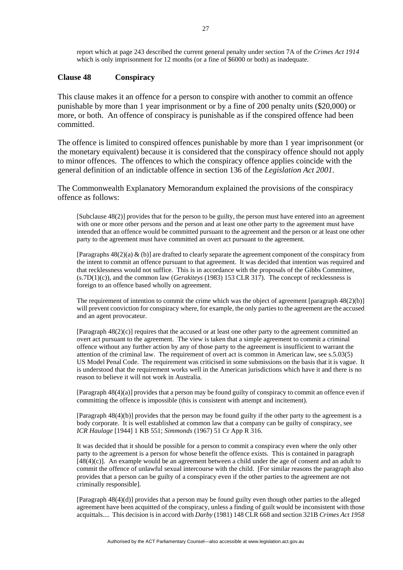report which at page 243 described the current general penalty under section 7A of the *Crimes Act 1914* which is only imprisonment for 12 months (or a fine of \$6000 or both) as inadequate.

#### **Clause 48 Conspiracy**

This clause makes it an offence for a person to conspire with another to commit an offence punishable by more than 1 year imprisonment or by a fine of 200 penalty units (\$20,000) or more, or both. An offence of conspiracy is punishable as if the conspired offence had been committed.

The offence is limited to conspired offences punishable by more than 1 year imprisonment (or the monetary equivalent) because it is considered that the conspiracy offence should not apply to minor offences. The offences to which the conspiracy offence applies coincide with the general definition of an indictable offence in section 136 of the *Legislation Act 2001*.

The Commonwealth Explanatory Memorandum explained the provisions of the conspiracy offence as follows:

[Subclause 48(2)] provides that for the person to be guilty, the person must have entered into an agreement with one or more other persons and the person and at least one other party to the agreement must have intended that an offence would be committed pursuant to the agreement and the person or at least one other party to the agreement must have committed an overt act pursuant to the agreement.

[Paragraphs  $48(2)(a)$  & (b)] are drafted to clearly separate the agreement component of the conspiracy from the intent to commit an offence pursuant to that agreement. It was decided that intention was required and that recklessness would not suffice. This is in accordance with the proposals of the Gibbs Committee, (s.7D(1)(c)), and the common law (*Gerakiteys* (1983) 153 CLR 317). The concept of recklessness is foreign to an offence based wholly on agreement.

The requirement of intention to commit the crime which was the object of agreement [paragraph 48(2)(b)] will prevent conviction for conspiracy where, for example, the only parties to the agreement are the accused and an agent provocateur.

[Paragraph 48(2)(c)] requires that the accused or at least one other party to the agreement committed an overt act pursuant to the agreement. The view is taken that a simple agreement to commit a criminal offence without any further action by any of those party to the agreement is insufficient to warrant the attention of the criminal law. The requirement of overt act is common in American law, see s.5.03(5) US Model Penal Code. The requirement was criticised in some submissions on the basis that it is vague. It is understood that the requirement works well in the American jurisdictions which have it and there is no reason to believe it will not work in Australia.

[Paragraph 48(4)(a)] provides that a person may be found guilty of conspiracy to commit an offence even if committing the offence is impossible (this is consistent with attempt and incitement).

[Paragraph 48(4)(b)] provides that the person may be found guilty if the other party to the agreement is a body corporate. It is well established at common law that a company can be guilty of conspiracy, see *ICR Haulage* [1944] 1 KB 551; *Simmonds* (1967) 51 Cr App R 316.

It was decided that it should be possible for a person to commit a conspiracy even where the only other party to the agreement is a person for whose benefit the offence exists. This is contained in paragraph [48(4)(c)]. An example would be an agreement between a child under the age of consent and an adult to commit the offence of unlawful sexual intercourse with the child. [For similar reasons the paragraph also provides that a person can be guilty of a conspiracy even if the other parties to the agreement are not criminally responsible].

[Paragraph 48(4)(d)] provides that a person may be found guilty even though other parties to the alleged agreement have been acquitted of the conspiracy, unless a finding of guilt would be inconsistent with those acquittals.... This decision is in accord with *Darby* (1981) 148 CLR 668 and section 321B *Crimes Act 1958*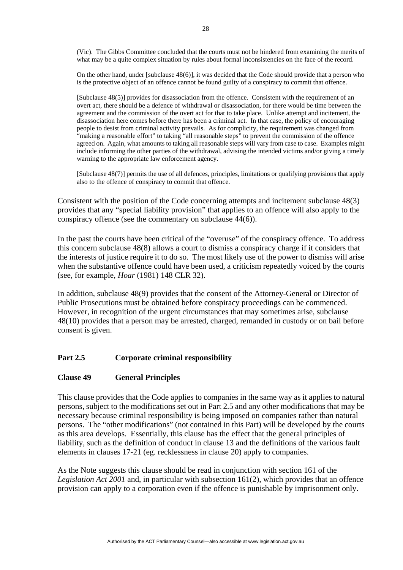(Vic). The Gibbs Committee concluded that the courts must not be hindered from examining the merits of what may be a quite complex situation by rules about formal inconsistencies on the face of the record.

On the other hand, under [subclause 48(6)], it was decided that the Code should provide that a person who is the protective object of an offence cannot be found guilty of a conspiracy to commit that offence.

[Subclause 48(5)] provides for disassociation from the offence.Consistent with the requirement of an overt act, there should be a defence of withdrawal or disassociation, for there would be time between the agreement and the commission of the overt act for that to take place. Unlike attempt and incitement, the disassociation here comes before there has been a criminal act. In that case, the policy of encouraging people to desist from criminal activity prevails. As for complicity, the requirement was changed from "making a reasonable effort" to taking "all reasonable steps" to prevent the commission of the offence agreed on. Again, what amounts to taking all reasonable steps will vary from case to case. Examples might include informing the other parties of the withdrawal, advising the intended victims and/or giving a timely warning to the appropriate law enforcement agency.

[Subclause 48(7)] permits the use of all defences, principles, limitations or qualifying provisions that apply also to the offence of conspiracy to commit that offence.

Consistent with the position of the Code concerning attempts and incitement subclause 48(3) provides that any "special liability provision" that applies to an offence will also apply to the conspiracy offence (see the commentary on subclause 44(6)).

In the past the courts have been critical of the "overuse" of the conspiracy offence. To address this concern subclause 48(8) allows a court to dismiss a conspiracy charge if it considers that the interests of justice require it to do so. The most likely use of the power to dismiss will arise when the substantive offence could have been used, a criticism repeatedly voiced by the courts (see, for example, *Hoar* (1981) 148 CLR 32).

In addition, subclause 48(9) provides that the consent of the Attorney-General or Director of Public Prosecutions must be obtained before conspiracy proceedings can be commenced. However, in recognition of the urgent circumstances that may sometimes arise, subclause 48(10) provides that a person may be arrested, charged, remanded in custody or on bail before consent is given.

# **Part 2.5 Corporate criminal responsibility**

## **Clause 49 General Principles**

This clause provides that the Code applies to companies in the same way as it applies to natural persons, subject to the modifications set out in Part 2.5 and any other modifications that may be necessary because criminal responsibility is being imposed on companies rather than natural persons. The "other modifications" (not contained in this Part) will be developed by the courts as this area develops. Essentially, this clause has the effect that the general principles of liability, such as the definition of conduct in clause 13 and the definitions of the various fault elements in clauses 17-21 (eg. recklessness in clause 20) apply to companies.

As the Note suggests this clause should be read in conjunction with section 161 of the *Legislation Act 2001* and, in particular with subsection 161(2), which provides that an offence provision can apply to a corporation even if the offence is punishable by imprisonment only.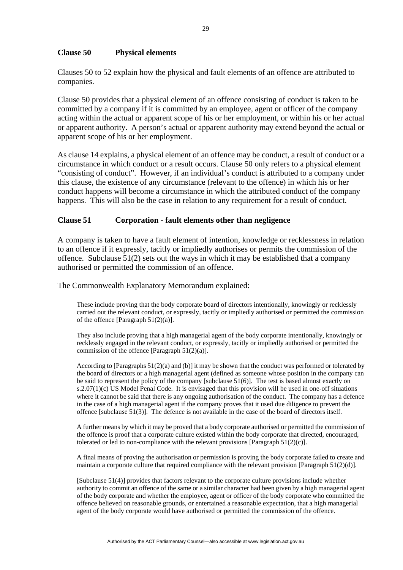## **Clause 50 Physical elements**

Clauses 50 to 52 explain how the physical and fault elements of an offence are attributed to companies.

Clause 50 provides that a physical element of an offence consisting of conduct is taken to be committed by a company if it is committed by an employee, agent or officer of the company acting within the actual or apparent scope of his or her employment, or within his or her actual or apparent authority. A person's actual or apparent authority may extend beyond the actual or apparent scope of his or her employment.

As clause 14 explains, a physical element of an offence may be conduct, a result of conduct or a circumstance in which conduct or a result occurs. Clause 50 only refers to a physical element "consisting of conduct". However, if an individual's conduct is attributed to a company under this clause, the existence of any circumstance (relevant to the offence) in which his or her conduct happens will become a circumstance in which the attributed conduct of the company happens. This will also be the case in relation to any requirement for a result of conduct.

### **Clause 51 Corporation - fault elements other than negligence**

A company is taken to have a fault element of intention, knowledge or recklessness in relation to an offence if it expressly, tacitly or impliedly authorises or permits the commission of the offence. Subclause 51(2) sets out the ways in which it may be established that a company authorised or permitted the commission of an offence.

The Commonwealth Explanatory Memorandum explained:

These include proving that the body corporate board of directors intentionally, knowingly or recklessly carried out the relevant conduct, or expressly, tacitly or impliedly authorised or permitted the commission of the offence [Paragraph 51(2)(a)].

They also include proving that a high managerial agent of the body corporate intentionally, knowingly or recklessly engaged in the relevant conduct, or expressly, tacitly or impliedly authorised or permitted the commission of the offence [Paragraph 51(2)(a)].

According to [Paragraphs  $51(2)(a)$  and (b)] it may be shown that the conduct was performed or tolerated by the board of directors or a high managerial agent (defined as someone whose position in the company can be said to represent the policy of the company [subclause 51(6)]. The test is based almost exactly on s.2.07(1)(c) US Model Penal Code. It is envisaged that this provision will be used in one-off situations where it cannot be said that there is any ongoing authorisation of the conduct. The company has a defence in the case of a high managerial agent if the company proves that it used due diligence to prevent the offence [subclause 51(3)]. The defence is not available in the case of the board of directors itself.

A further means by which it may be proved that a body corporate authorised or permitted the commission of the offence is proof that a corporate culture existed within the body corporate that directed, encouraged, tolerated or led to non-compliance with the relevant provisions [Paragraph  $51(2)(c)$ ].

A final means of proving the authorisation or permission is proving the body corporate failed to create and maintain a corporate culture that required compliance with the relevant provision [Paragraph 51(2)(d)].

[Subclause 51(4)] provides that factors relevant to the corporate culture provisions include whether authority to commit an offence of the same or a similar character had been given by a high managerial agent of the body corporate and whether the employee, agent or officer of the body corporate who committed the offence believed on reasonable grounds, or entertained a reasonable expectation, that a high managerial agent of the body corporate would have authorised or permitted the commission of the offence.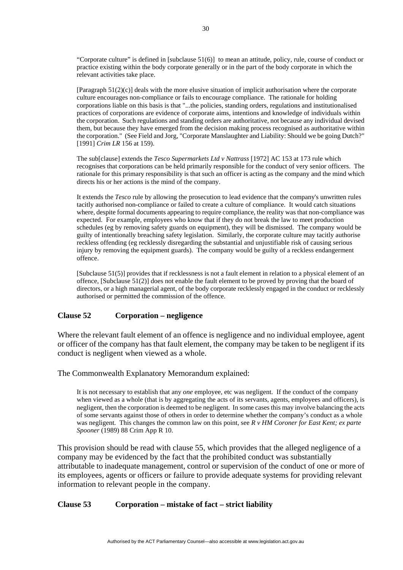"Corporate culture" is defined in [subclause 51(6)] to mean an attitude, policy, rule, course of conduct or practice existing within the body corporate generally or in the part of the body corporate in which the relevant activities take place.

[Paragraph 51(2)(c)] deals with the more elusive situation of implicit authorisation where the corporate culture encourages non-compliance or fails to encourage compliance. The rationale for holding corporations liable on this basis is that "...the policies, standing orders, regulations and institutionalised practices of corporations are evidence of corporate aims, intentions and knowledge of individuals within the corporation. Such regulations and standing orders are authoritative, not because any individual devised them, but because they have emerged from the decision making process recognised as authoritative within the corporation." (See Field and Jorg, "Corporate Manslaughter and Liability: Should we be going Dutch?" [1991] *Crim LR* 156 at 159).

The sub[clause] extends the *Tesco Supermarkets Ltd v Nattrass* [1972] AC 153 at 173 rule which recognises that corporations can be held primarily responsible for the conduct of very senior officers. The rationale for this primary responsibility is that such an officer is acting as the company and the mind which directs his or her actions is the mind of the company.

It extends the *Tesco* rule by allowing the prosecution to lead evidence that the company's unwritten rules tacitly authorised non-compliance or failed to create a culture of compliance. It would catch situations where, despite formal documents appearing to require compliance, the reality was that non-compliance was expected. For example, employees who know that if they do not break the law to meet production schedules (eg by removing safety guards on equipment), they will be dismissed. The company would be guilty of intentionally breaching safety legislation. Similarly, the corporate culture may tacitly authorise reckless offending (eg recklessly disregarding the substantial and unjustifiable risk of causing serious injury by removing the equipment guards). The company would be guilty of a reckless endangerment offence.

[Subclause 51(5)] provides that if recklessness is not a fault element in relation to a physical element of an offence, [Subclause 51(2)] does not enable the fault element to be proved by proving that the board of directors, or a high managerial agent, of the body corporate recklessly engaged in the conduct or recklessly authorised or permitted the commission of the offence.

## **Clause 52 Corporation – negligence**

Where the relevant fault element of an offence is negligence and no individual employee, agent or officer of the company has that fault element, the company may be taken to be negligent if its conduct is negligent when viewed as a whole.

The Commonwealth Explanatory Memorandum explained:

It is not necessary to establish that any *one* employee, etc was negligent. If the conduct of the company when viewed as a whole (that is by aggregating the acts of its servants, agents, employees and officers), is negligent, then the corporation is deemed to be negligent. In some cases this may involve balancing the acts of some servants against those of others in order to determine whether the company's conduct as a whole was negligent. This changes the common law on this point, see *R v HM Coroner for East Kent; ex parte Spooner* (1989) 88 Crim App R 10.

This provision should be read with clause 55, which provides that the alleged negligence of a company may be evidenced by the fact that the prohibited conduct was substantially attributable to inadequate management, control or supervision of the conduct of one or more of its employees, agents or officers or failure to provide adequate systems for providing relevant information to relevant people in the company.

#### **Clause 53 Corporation – mistake of fact – strict liability**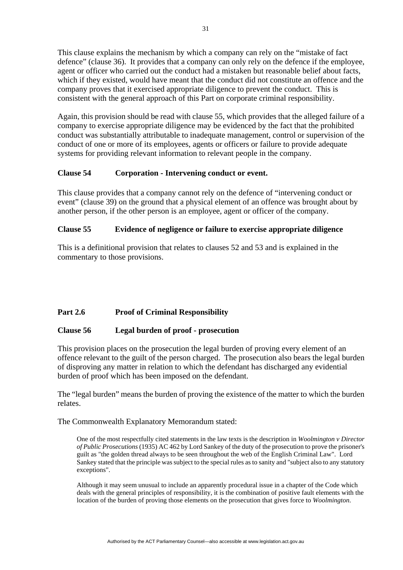This clause explains the mechanism by which a company can rely on the "mistake of fact defence" (clause 36). It provides that a company can only rely on the defence if the employee, agent or officer who carried out the conduct had a mistaken but reasonable belief about facts, which if they existed, would have meant that the conduct did not constitute an offence and the company proves that it exercised appropriate diligence to prevent the conduct. This is consistent with the general approach of this Part on corporate criminal responsibility.

Again, this provision should be read with clause 55, which provides that the alleged failure of a company to exercise appropriate diligence may be evidenced by the fact that the prohibited conduct was substantially attributable to inadequate management, control or supervision of the conduct of one or more of its employees, agents or officers or failure to provide adequate systems for providing relevant information to relevant people in the company.

# **Clause 54 Corporation - Intervening conduct or event.**

This clause provides that a company cannot rely on the defence of "intervening conduct or event" (clause 39) on the ground that a physical element of an offence was brought about by another person, if the other person is an employee, agent or officer of the company.

# **Clause 55 Evidence of negligence or failure to exercise appropriate diligence**

This is a definitional provision that relates to clauses 52 and 53 and is explained in the commentary to those provisions.

# Part 2.6 Proof of Criminal Responsibility

## **Clause 56 Legal burden of proof - prosecution**

This provision places on the prosecution the legal burden of proving every element of an offence relevant to the guilt of the person charged. The prosecution also bears the legal burden of disproving any matter in relation to which the defendant has discharged any evidential burden of proof which has been imposed on the defendant.

The "legal burden" means the burden of proving the existence of the matter to which the burden relates.

The Commonwealth Explanatory Memorandum stated:

One of the most respectfully cited statements in the law texts is the description in *Woolmington v Director of Public Prosecutions* (1935) AC 462 by Lord Sankey of the duty of the prosecution to prove the prisoner's guilt as "the golden thread always to be seen throughout the web of the English Criminal Law". Lord Sankey stated that the principle was subject to the special rules as to sanity and "subject also to any statutory exceptions".

Although it may seem unusual to include an apparently procedural issue in a chapter of the Code which deals with the general principles of responsibility, it is the combination of positive fault elements with the location of the burden of proving those elements on the prosecution that gives force to *Woolmington*.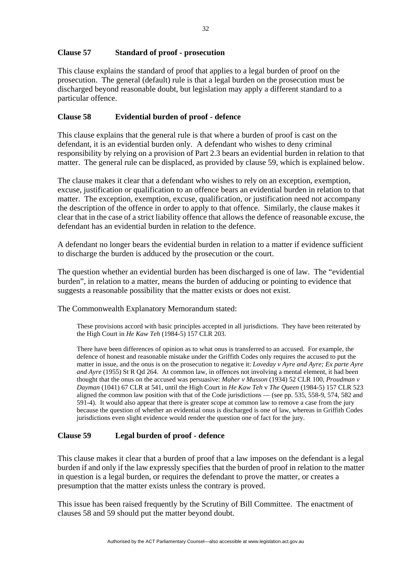# **Clause 57 Standard of proof - prosecution**

This clause explains the standard of proof that applies to a legal burden of proof on the prosecution. The general (default) rule is that a legal burden on the prosecution must be discharged beyond reasonable doubt, but legislation may apply a different standard to a particular offence.

# **Clause 58 Evidential burden of proof - defence**

This clause explains that the general rule is that where a burden of proof is cast on the defendant, it is an evidential burden only. A defendant who wishes to deny criminal responsibility by relying on a provision of Part 2.3 bears an evidential burden in relation to that matter. The general rule can be displaced, as provided by clause 59, which is explained below.

The clause makes it clear that a defendant who wishes to rely on an exception, exemption, excuse, justification or qualification to an offence bears an evidential burden in relation to that matter. The exception, exemption, excuse, qualification, or justification need not accompany the description of the offence in order to apply to that offence. Similarly, the clause makes it clear that in the case of a strict liability offence that allows the defence of reasonable excuse, the defendant has an evidential burden in relation to the defence.

A defendant no longer bears the evidential burden in relation to a matter if evidence sufficient to discharge the burden is adduced by the prosecution or the court.

The question whether an evidential burden has been discharged is one of law. The "evidential burden", in relation to a matter, means the burden of adducing or pointing to evidence that suggests a reasonable possibility that the matter exists or does not exist.

The Commonwealth Explanatory Memorandum stated:

These provisions accord with basic principles accepted in all jurisdictions. They have been reiterated by the High Court in *He Kaw Teh* (1984-5) 157 CLR 203.

There have been differences of opinion as to what onus is transferred to an accused. For example, the defence of honest and reasonable mistake under the Griffith Codes only requires the accused to put the matter in issue, and the onus is on the prosecution to negative it: *Loveday v Ayre and Ayre; Ex parte Ayre and Ayre* (1955) St R Qd 264. At common law, in offences not involving a mental element, it had been thought that the onus on the accused was persuasive: *Maher v Musson* (1934) 52 CLR 100, *Proudman v Dayman* (1041) 67 CLR at 541, until the High Court in *He Kaw Teh* v *The Queen* (1984-5) 157 CLR 523 aligned the common law position with that of the Code jurisdictions — (see pp. 535, 558-9, 574, 582 and 591-4). It would also appear that there is greater scope at common law to remove a case from the jury because the question of whether an evidential onus is discharged is one of law, whereas in Griffith Codes jurisdictions even slight evidence would render the question one of fact for the jury.

## **Clause 59 Legal burden of proof - defence**

This clause makes it clear that a burden of proof that a law imposes on the defendant is a legal burden if and only if the law expressly specifies that the burden of proof in relation to the matter in question is a legal burden, or requires the defendant to prove the matter, or creates a presumption that the matter exists unless the contrary is proved.

This issue has been raised frequently by the Scrutiny of Bill Committee. The enactment of clauses 58 and 59 should put the matter beyond doubt.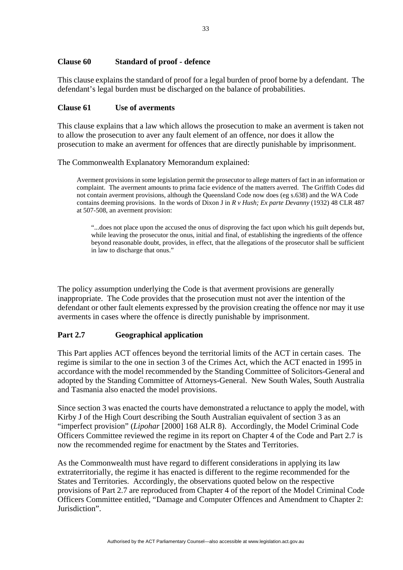# **Clause 60 Standard of proof - defence**

This clause explains the standard of proof for a legal burden of proof borne by a defendant. The defendant's legal burden must be discharged on the balance of probabilities.

### **Clause 61 Use of averments**

This clause explains that a law which allows the prosecution to make an averment is taken not to allow the prosecution to aver any fault element of an offence, nor does it allow the prosecution to make an averment for offences that are directly punishable by imprisonment.

The Commonwealth Explanatory Memorandum explained:

Averment provisions in some legislation permit the prosecutor to allege matters of fact in an information or complaint. The averment amounts to prima facie evidence of the matters averred. The Griffith Codes did not contain averment provisions, although the Queensland Code now does (eg s.638) and the WA Code contains deeming provisions. In the words of Dixon J in *R v Hush; Ex parte Devanny* (1932) 48 CLR 487 at 507-508, an averment provision:

"...does not place upon the accused the onus of disproving the fact upon which his guilt depends but, while leaving the prosecutor the onus, initial and final, of establishing the ingredients of the offence beyond reasonable doubt, provides, in effect, that the allegations of the prosecutor shall be sufficient in law to discharge that onus."

The policy assumption underlying the Code is that averment provisions are generally inappropriate. The Code provides that the prosecution must not aver the intention of the defendant or other fault elements expressed by the provision creating the offence nor may it use averments in cases where the offence is directly punishable by imprisonment.

## **Part 2.7 Geographical application**

This Part applies ACT offences beyond the territorial limits of the ACT in certain cases. The regime is similar to the one in section 3 of the Crimes Act, which the ACT enacted in 1995 in accordance with the model recommended by the Standing Committee of Solicitors-General and adopted by the Standing Committee of Attorneys-General. New South Wales, South Australia and Tasmania also enacted the model provisions.

Since section 3 was enacted the courts have demonstrated a reluctance to apply the model, with Kirby J of the High Court describing the South Australian equivalent of section 3 as an "imperfect provision" (*Lipohar* [2000] 168 ALR 8). Accordingly, the Model Criminal Code Officers Committee reviewed the regime in its report on Chapter 4 of the Code and Part 2.7 is now the recommended regime for enactment by the States and Territories.

As the Commonwealth must have regard to different considerations in applying its law extraterritorially, the regime it has enacted is different to the regime recommended for the States and Territories. Accordingly, the observations quoted below on the respective provisions of Part 2.7 are reproduced from Chapter 4 of the report of the Model Criminal Code Officers Committee entitled, "Damage and Computer Offences and Amendment to Chapter 2: Jurisdiction".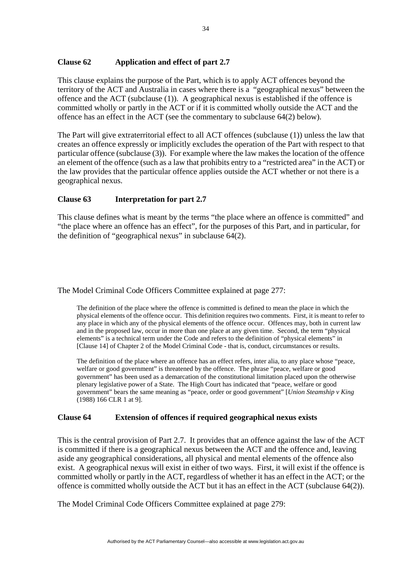# **Clause 62 Application and effect of part 2.7**

This clause explains the purpose of the Part, which is to apply ACT offences beyond the territory of the ACT and Australia in cases where there is a "geographical nexus" between the offence and the ACT (subclause (1)). A geographical nexus is established if the offence is committed wholly or partly in the ACT or if it is committed wholly outside the ACT and the offence has an effect in the ACT (see the commentary to subclause 64(2) below).

The Part will give extraterritorial effect to all ACT offences (subclause (1)) unless the law that creates an offence expressly or implicitly excludes the operation of the Part with respect to that particular offence (subclause (3)). For example where the law makes the location of the offence an element of the offence (such as a law that prohibits entry to a "restricted area" in the ACT) or the law provides that the particular offence applies outside the ACT whether or not there is a geographical nexus.

# **Clause 63 Interpretation for part 2.7**

This clause defines what is meant by the terms "the place where an offence is committed" and "the place where an offence has an effect", for the purposes of this Part, and in particular, for the definition of "geographical nexus" in subclause  $64(2)$ .

The Model Criminal Code Officers Committee explained at page 277:

The definition of the place where the offence is committed is defined to mean the place in which the physical elements of the offence occur. This definition requires two comments. First, it is meant to refer to any place in which any of the physical elements of the offence occur. Offences may, both in current law and in the proposed law, occur in more than one place at any given time. Second, the term "physical elements" is a technical term under the Code and refers to the definition of "physical elements" in [Clause 14] of Chapter 2 of the Model Criminal Code - that is, conduct, circumstances or results.

The definition of the place where an offence has an effect refers, inter alia, to any place whose "peace, welfare or good government" is threatened by the offence. The phrase "peace, welfare or good government" has been used as a demarcation of the constitutional limitation placed upon the otherwise plenary legislative power of a State. The High Court has indicated that "peace, welfare or good government" bears the same meaning as "peace, order or good government" [*Union Steamship v King*  (1988) 166 CLR 1 at 9].

# **Clause 64 Extension of offences if required geographical nexus exists**

This is the central provision of Part 2.7. It provides that an offence against the law of the ACT is committed if there is a geographical nexus between the ACT and the offence and, leaving aside any geographical considerations, all physical and mental elements of the offence also exist. A geographical nexus will exist in either of two ways. First, it will exist if the offence is committed wholly or partly in the ACT, regardless of whether it has an effect in the ACT; or the offence is committed wholly outside the ACT but it has an effect in the ACT (subclause 64(2)).

The Model Criminal Code Officers Committee explained at page 279: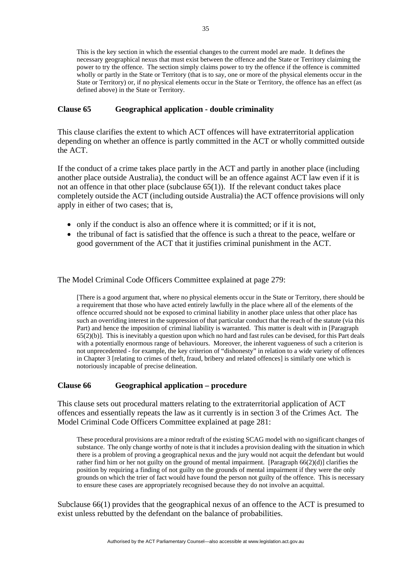This is the key section in which the essential changes to the current model are made. It defines the necessary geographical nexus that must exist between the offence and the State or Territory claiming the power to try the offence. The section simply claims power to try the offence if the offence is committed wholly or partly in the State or Territory (that is to say, one or more of the physical elements occur in the State or Territory) or, if no physical elements occur in the State or Territory, the offence has an effect (as defined above) in the State or Territory.

### **Clause 65 Geographical application - double criminality**

This clause clarifies the extent to which ACT offences will have extraterritorial application depending on whether an offence is partly committed in the ACT or wholly committed outside the ACT.

If the conduct of a crime takes place partly in the ACT and partly in another place (including another place outside Australia), the conduct will be an offence against ACT law even if it is not an offence in that other place (subclause  $65(1)$ ). If the relevant conduct takes place completely outside the ACT (including outside Australia) the ACT offence provisions will only apply in either of two cases; that is,

- only if the conduct is also an offence where it is committed; or if it is not,
- the tribunal of fact is satisfied that the offence is such a threat to the peace, welfare or good government of the ACT that it justifies criminal punishment in the ACT.

The Model Criminal Code Officers Committee explained at page 279:

[There is a good argument that, where no physical elements occur in the State or Territory, there should be a requirement that those who have acted entirely lawfully in the place where all of the elements of the offence occurred should not be exposed to criminal liability in another place unless that other place has such an overriding interest in the suppression of that particular conduct that the reach of the statute (via this Part) and hence the imposition of criminal liability is warranted. This matter is dealt with in [Paragraph 65(2)(b)]. This is inevitably a question upon which no hard and fast rules can be devised, for this Part deals with a potentially enormous range of behaviours. Moreover, the inherent vagueness of such a criterion is not unprecedented - for example, the key criterion of "dishonesty" in relation to a wide variety of offences in Chapter 3 [relating to crimes of theft, fraud, bribery and related offences] is similarly one which is notoriously incapable of precise delineation.

## **Clause 66 Geographical application – procedure**

This clause sets out procedural matters relating to the extraterritorial application of ACT offences and essentially repeats the law as it currently is in section 3 of the Crimes Act. The Model Criminal Code Officers Committee explained at page 281:

These procedural provisions are a minor redraft of the existing SCAG model with no significant changes of substance. The only change worthy of note is that it includes a provision dealing with the situation in which there is a problem of proving a geographical nexus and the jury would not acquit the defendant but would rather find him or her not guilty on the ground of mental impairment. [Paragraph 66(2)(d)] clarifies the position by requiring a finding of not guilty on the grounds of mental impairment if they were the only grounds on which the trier of fact would have found the person not guilty of the offence. This is necessary to ensure these cases are appropriately recognised because they do not involve an acquittal.

Subclause 66(1) provides that the geographical nexus of an offence to the ACT is presumed to exist unless rebutted by the defendant on the balance of probabilities.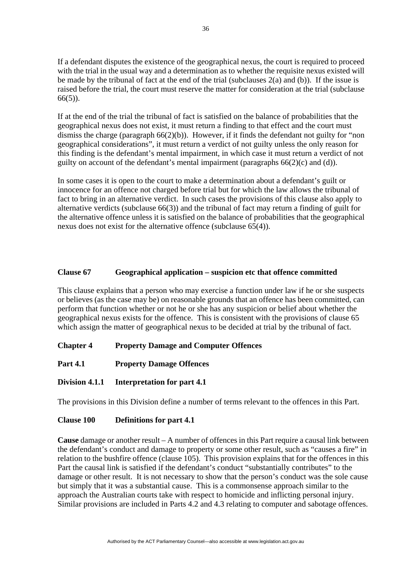If a defendant disputes the existence of the geographical nexus, the court is required to proceed with the trial in the usual way and a determination as to whether the requisite nexus existed will be made by the tribunal of fact at the end of the trial (subclauses  $2(a)$  and (b)). If the issue is raised before the trial, the court must reserve the matter for consideration at the trial (subclause  $66(5)$ ).

If at the end of the trial the tribunal of fact is satisfied on the balance of probabilities that the geographical nexus does not exist, it must return a finding to that effect and the court must dismiss the charge (paragraph  $66(2)(b)$ ). However, if it finds the defendant not guilty for "non geographical considerations", it must return a verdict of not guilty unless the only reason for this finding is the defendant's mental impairment, in which case it must return a verdict of not guilty on account of the defendant's mental impairment (paragraphs 66(2)(c) and (d)).

In some cases it is open to the court to make a determination about a defendant's guilt or innocence for an offence not charged before trial but for which the law allows the tribunal of fact to bring in an alternative verdict. In such cases the provisions of this clause also apply to alternative verdicts (subclause 66(3)) and the tribunal of fact may return a finding of guilt for the alternative offence unless it is satisfied on the balance of probabilities that the geographical nexus does not exist for the alternative offence (subclause 65(4)).

# **Clause 67 Geographical application – suspicion etc that offence committed**

This clause explains that a person who may exercise a function under law if he or she suspects or believes (as the case may be) on reasonable grounds that an offence has been committed, can perform that function whether or not he or she has any suspicion or belief about whether the geographical nexus exists for the offence. This is consistent with the provisions of clause 65 which assign the matter of geographical nexus to be decided at trial by the tribunal of fact.

**Chapter 4 Property Damage and Computer Offences** 

- **Part 4.1 Property Damage Offences**
- **Division 4.1.1 Interpretation for part 4.1**

The provisions in this Division define a number of terms relevant to the offences in this Part.

# **Clause 100 Definitions for part 4.1**

**Cause** damage or another result – A number of offences in this Part require a causal link between the defendant's conduct and damage to property or some other result, such as "causes a fire" in relation to the bushfire offence (clause 105). This provision explains that for the offences in this Part the causal link is satisfied if the defendant's conduct "substantially contributes" to the damage or other result. It is not necessary to show that the person's conduct was the sole cause but simply that it was a substantial cause. This is a commonsense approach similar to the approach the Australian courts take with respect to homicide and inflicting personal injury. Similar provisions are included in Parts 4.2 and 4.3 relating to computer and sabotage offences.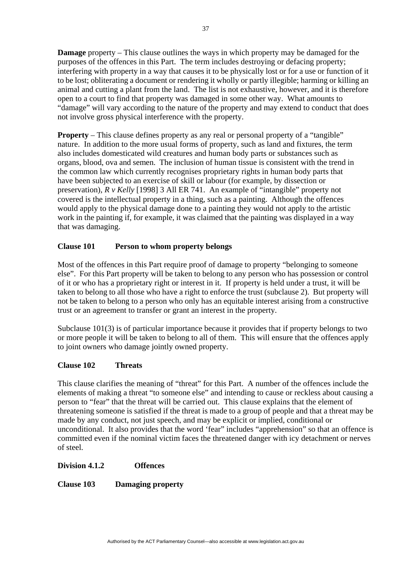**Damage** property – This clause outlines the ways in which property may be damaged for the purposes of the offences in this Part. The term includes destroying or defacing property; interfering with property in a way that causes it to be physically lost or for a use or function of it to be lost; obliterating a document or rendering it wholly or partly illegible; harming or killing an animal and cutting a plant from the land. The list is not exhaustive, however, and it is therefore open to a court to find that property was damaged in some other way. What amounts to "damage" will vary according to the nature of the property and may extend to conduct that does not involve gross physical interference with the property.

**Property** – This clause defines property as any real or personal property of a "tangible" nature. In addition to the more usual forms of property, such as land and fixtures, the term also includes domesticated wild creatures and human body parts or substances such as organs, blood, ova and semen. The inclusion of human tissue is consistent with the trend in the common law which currently recognises proprietary rights in human body parts that have been subjected to an exercise of skill or labour (for example, by dissection or preservation), *R v Kelly* [1998] 3 All ER 741. An example of "intangible" property not covered is the intellectual property in a thing, such as a painting. Although the offences would apply to the physical damage done to a painting they would not apply to the artistic work in the painting if, for example, it was claimed that the painting was displayed in a way that was damaging.

# **Clause 101 Person to whom property belongs**

Most of the offences in this Part require proof of damage to property "belonging to someone else". For this Part property will be taken to belong to any person who has possession or control of it or who has a proprietary right or interest in it. If property is held under a trust, it will be taken to belong to all those who have a right to enforce the trust (subclause 2). But property will not be taken to belong to a person who only has an equitable interest arising from a constructive trust or an agreement to transfer or grant an interest in the property.

Subclause 101(3) is of particular importance because it provides that if property belongs to two or more people it will be taken to belong to all of them. This will ensure that the offences apply to joint owners who damage jointly owned property.

# **Clause 102 Threats**

This clause clarifies the meaning of "threat" for this Part. A number of the offences include the elements of making a threat "to someone else" and intending to cause or reckless about causing a person to "fear" that the threat will be carried out. This clause explains that the element of threatening someone is satisfied if the threat is made to a group of people and that a threat may be made by any conduct, not just speech, and may be explicit or implied, conditional or unconditional. It also provides that the word 'fear" includes "apprehension" so that an offence is committed even if the nominal victim faces the threatened danger with icy detachment or nerves of steel.

## **Division 4.1.2 Offences**

**Clause 103 Damaging property**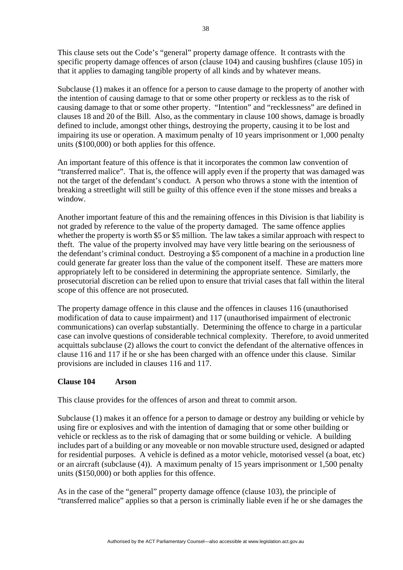This clause sets out the Code's "general" property damage offence. It contrasts with the specific property damage offences of arson (clause 104) and causing bushfires (clause 105) in that it applies to damaging tangible property of all kinds and by whatever means.

Subclause (1) makes it an offence for a person to cause damage to the property of another with the intention of causing damage to that or some other property or reckless as to the risk of causing damage to that or some other property. "Intention" and "recklessness" are defined in clauses 18 and 20 of the Bill. Also, as the commentary in clause 100 shows, damage is broadly defined to include, amongst other things, destroying the property, causing it to be lost and impairing its use or operation. A maximum penalty of 10 years imprisonment or 1,000 penalty units (\$100,000) or both applies for this offence.

An important feature of this offence is that it incorporates the common law convention of "transferred malice". That is, the offence will apply even if the property that was damaged was not the target of the defendant's conduct. A person who throws a stone with the intention of breaking a streetlight will still be guilty of this offence even if the stone misses and breaks a window.

Another important feature of this and the remaining offences in this Division is that liability is not graded by reference to the value of the property damaged. The same offence applies whether the property is worth \$5 or \$5 million. The law takes a similar approach with respect to theft. The value of the property involved may have very little bearing on the seriousness of the defendant's criminal conduct. Destroying a \$5 component of a machine in a production line could generate far greater loss than the value of the component itself. These are matters more appropriately left to be considered in determining the appropriate sentence. Similarly, the prosecutorial discretion can be relied upon to ensure that trivial cases that fall within the literal scope of this offence are not prosecuted.

The property damage offence in this clause and the offences in clauses 116 (unauthorised modification of data to cause impairment) and 117 (unauthorised impairment of electronic communications) can overlap substantially. Determining the offence to charge in a particular case can involve questions of considerable technical complexity. Therefore, to avoid unmerited acquittals subclause (2) allows the court to convict the defendant of the alternative offences in clause 116 and 117 if he or she has been charged with an offence under this clause. Similar provisions are included in clauses 116 and 117.

## **Clause 104 Arson**

This clause provides for the offences of arson and threat to commit arson.

Subclause (1) makes it an offence for a person to damage or destroy any building or vehicle by using fire or explosives and with the intention of damaging that or some other building or vehicle or reckless as to the risk of damaging that or some building or vehicle. A building includes part of a building or any moveable or non movable structure used, designed or adapted for residential purposes. A vehicle is defined as a motor vehicle, motorised vessel (a boat, etc) or an aircraft (subclause (4)). A maximum penalty of 15 years imprisonment or 1,500 penalty units (\$150,000) or both applies for this offence.

As in the case of the "general" property damage offence (clause 103), the principle of "transferred malice" applies so that a person is criminally liable even if he or she damages the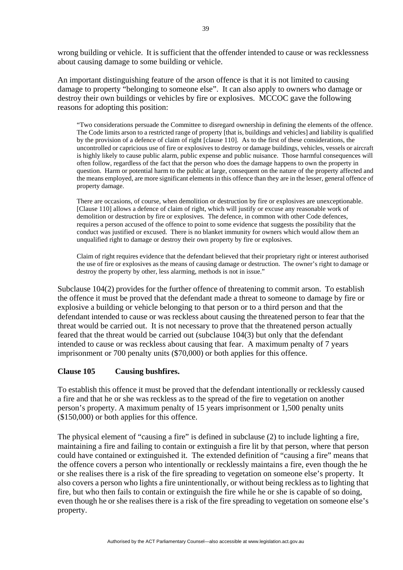wrong building or vehicle. It is sufficient that the offender intended to cause or was recklessness about causing damage to some building or vehicle.

An important distinguishing feature of the arson offence is that it is not limited to causing damage to property "belonging to someone else". It can also apply to owners who damage or destroy their own buildings or vehicles by fire or explosives. MCCOC gave the following reasons for adopting this position:

"Two considerations persuade the Committee to disregard ownership in defining the elements of the offence. The Code limits arson to a restricted range of property [that is, buildings and vehicles] and liability is qualified by the provision of a defence of claim of right [clause 110]. As to the first of these considerations, the uncontrolled or capricious use of fire or explosives to destroy or damage buildings, vehicles, vessels or aircraft is highly likely to cause public alarm, public expense and public nuisance. Those harmful consequences will often follow, regardless of the fact that the person who does the damage happens to own the property in question. Harm or potential harm to the public at large, consequent on the nature of the property affected and the means employed, are more significant elements in this offence than they are in the lesser, general offence of property damage.

There are occasions, of course, when demolition or destruction by fire or explosives are unexceptionable. [Clause 110] allows a defence of claim of right, which will justify or excuse any reasonable work of demolition or destruction by fire or explosives. The defence, in common with other Code defences, requires a person accused of the offence to point to some evidence that suggests the possibility that the conduct was justified or excused. There is no blanket immunity for owners which would allow them an unqualified right to damage or destroy their own property by fire or explosives.

Claim of right requires evidence that the defendant believed that their proprietary right or interest authorised the use of fire or explosives as the means of causing damage or destruction. The owner's right to damage or destroy the property by other, less alarming, methods is not in issue."

Subclause 104(2) provides for the further offence of threatening to commit arson. To establish the offence it must be proved that the defendant made a threat to someone to damage by fire or explosive a building or vehicle belonging to that person or to a third person and that the defendant intended to cause or was reckless about causing the threatened person to fear that the threat would be carried out. It is not necessary to prove that the threatened person actually feared that the threat would be carried out (subclause 104(3) but only that the defendant intended to cause or was reckless about causing that fear. A maximum penalty of 7 years imprisonment or 700 penalty units (\$70,000) or both applies for this offence.

## **Clause 105 Causing bushfires.**

To establish this offence it must be proved that the defendant intentionally or recklessly caused a fire and that he or she was reckless as to the spread of the fire to vegetation on another person's property. A maximum penalty of 15 years imprisonment or 1,500 penalty units (\$150,000) or both applies for this offence.

The physical element of "causing a fire" is defined in subclause (2) to include lighting a fire, maintaining a fire and failing to contain or extinguish a fire lit by that person, where that person could have contained or extinguished it. The extended definition of "causing a fire" means that the offence covers a person who intentionally or recklessly maintains a fire, even though the he or she realises there is a risk of the fire spreading to vegetation on someone else's property. It also covers a person who lights a fire unintentionally, or without being reckless as to lighting that fire, but who then fails to contain or extinguish the fire while he or she is capable of so doing, even though he or she realises there is a risk of the fire spreading to vegetation on someone else's property.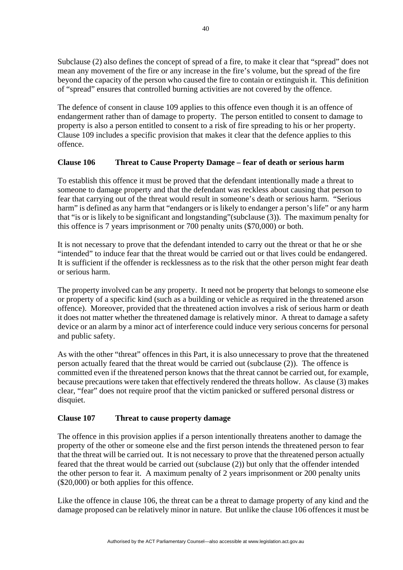Subclause (2) also defines the concept of spread of a fire, to make it clear that "spread" does not mean any movement of the fire or any increase in the fire's volume, but the spread of the fire beyond the capacity of the person who caused the fire to contain or extinguish it. This definition of "spread" ensures that controlled burning activities are not covered by the offence.

The defence of consent in clause 109 applies to this offence even though it is an offence of endangerment rather than of damage to property. The person entitled to consent to damage to property is also a person entitled to consent to a risk of fire spreading to his or her property. Clause 109 includes a specific provision that makes it clear that the defence applies to this offence.

# **Clause 106 Threat to Cause Property Damage – fear of death or serious harm**

To establish this offence it must be proved that the defendant intentionally made a threat to someone to damage property and that the defendant was reckless about causing that person to fear that carrying out of the threat would result in someone's death or serious harm. "Serious harm" is defined as any harm that "endangers or is likely to endanger a person's life" or any harm that "is or is likely to be significant and longstanding"(subclause (3)). The maximum penalty for this offence is 7 years imprisonment or 700 penalty units (\$70,000) or both.

It is not necessary to prove that the defendant intended to carry out the threat or that he or she "intended" to induce fear that the threat would be carried out or that lives could be endangered. It is sufficient if the offender is recklessness as to the risk that the other person might fear death or serious harm.

The property involved can be any property. It need not be property that belongs to someone else or property of a specific kind (such as a building or vehicle as required in the threatened arson offence). Moreover, provided that the threatened action involves a risk of serious harm or death it does not matter whether the threatened damage is relatively minor. A threat to damage a safety device or an alarm by a minor act of interference could induce very serious concerns for personal and public safety.

As with the other "threat" offences in this Part, it is also unnecessary to prove that the threatened person actually feared that the threat would be carried out (subclause (2)). The offence is committed even if the threatened person knows that the threat cannot be carried out, for example, because precautions were taken that effectively rendered the threats hollow. As clause (3) makes clear, "fear" does not require proof that the victim panicked or suffered personal distress or disquiet.

# **Clause 107 Threat to cause property damage**

The offence in this provision applies if a person intentionally threatens another to damage the property of the other or someone else and the first person intends the threatened person to fear that the threat will be carried out. It is not necessary to prove that the threatened person actually feared that the threat would be carried out (subclause (2)) but only that the offender intended the other person to fear it. A maximum penalty of 2 years imprisonment or 200 penalty units (\$20,000) or both applies for this offence.

Like the offence in clause 106, the threat can be a threat to damage property of any kind and the damage proposed can be relatively minor in nature. But unlike the clause 106 offences it must be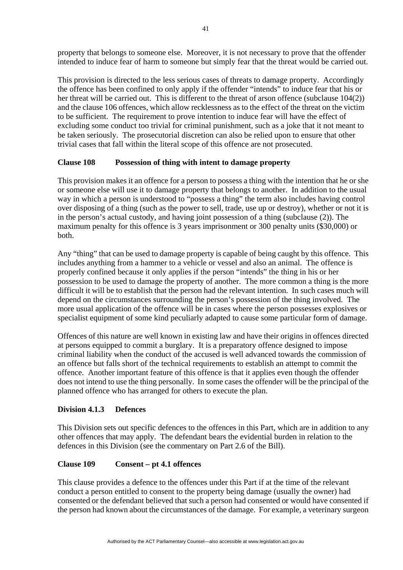property that belongs to someone else. Moreover, it is not necessary to prove that the offender intended to induce fear of harm to someone but simply fear that the threat would be carried out.

This provision is directed to the less serious cases of threats to damage property. Accordingly the offence has been confined to only apply if the offender "intends" to induce fear that his or her threat will be carried out. This is different to the threat of arson offence (subclause 104(2)) and the clause 106 offences, which allow recklessness as to the effect of the threat on the victim to be sufficient. The requirement to prove intention to induce fear will have the effect of excluding some conduct too trivial for criminal punishment, such as a joke that it not meant to be taken seriously. The prosecutorial discretion can also be relied upon to ensure that other trivial cases that fall within the literal scope of this offence are not prosecuted.

# **Clause 108 Possession of thing with intent to damage property**

This provision makes it an offence for a person to possess a thing with the intention that he or she or someone else will use it to damage property that belongs to another. In addition to the usual way in which a person is understood to "possess a thing" the term also includes having control over disposing of a thing (such as the power to sell, trade, use up or destroy), whether or not it is in the person's actual custody, and having joint possession of a thing (subclause (2)). The maximum penalty for this offence is 3 years imprisonment or 300 penalty units (\$30,000) or both.

Any "thing" that can be used to damage property is capable of being caught by this offence. This includes anything from a hammer to a vehicle or vessel and also an animal. The offence is properly confined because it only applies if the person "intends" the thing in his or her possession to be used to damage the property of another. The more common a thing is the more difficult it will be to establish that the person had the relevant intention. In such cases much will depend on the circumstances surrounding the person's possession of the thing involved. The more usual application of the offence will be in cases where the person possesses explosives or specialist equipment of some kind peculiarly adapted to cause some particular form of damage.

Offences of this nature are well known in existing law and have their origins in offences directed at persons equipped to commit a burglary. It is a preparatory offence designed to impose criminal liability when the conduct of the accused is well advanced towards the commission of an offence but falls short of the technical requirements to establish an attempt to commit the offence. Another important feature of this offence is that it applies even though the offender does not intend to use the thing personally. In some cases the offender will be the principal of the planned offence who has arranged for others to execute the plan.

## **Division 4.1.3 Defences**

This Division sets out specific defences to the offences in this Part, which are in addition to any other offences that may apply. The defendant bears the evidential burden in relation to the defences in this Division (see the commentary on Part 2.6 of the Bill).

## **Clause 109 Consent – pt 4.1 offences**

This clause provides a defence to the offences under this Part if at the time of the relevant conduct a person entitled to consent to the property being damage (usually the owner) had consented or the defendant believed that such a person had consented or would have consented if the person had known about the circumstances of the damage. For example, a veterinary surgeon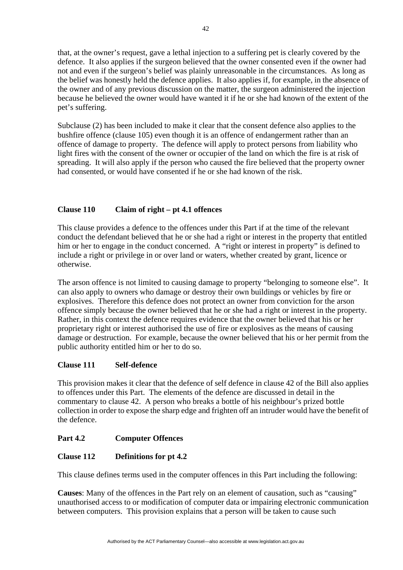that, at the owner's request, gave a lethal injection to a suffering pet is clearly covered by the defence. It also applies if the surgeon believed that the owner consented even if the owner had not and even if the surgeon's belief was plainly unreasonable in the circumstances. As long as the belief was honestly held the defence applies. It also applies if, for example, in the absence of the owner and of any previous discussion on the matter, the surgeon administered the injection because he believed the owner would have wanted it if he or she had known of the extent of the pet's suffering.

Subclause (2) has been included to make it clear that the consent defence also applies to the bushfire offence (clause 105) even though it is an offence of endangerment rather than an offence of damage to property. The defence will apply to protect persons from liability who light fires with the consent of the owner or occupier of the land on which the fire is at risk of spreading. It will also apply if the person who caused the fire believed that the property owner had consented, or would have consented if he or she had known of the risk.

# **Clause 110 Claim of right – pt 4.1 offences**

This clause provides a defence to the offences under this Part if at the time of the relevant conduct the defendant believed that he or she had a right or interest in the property that entitled him or her to engage in the conduct concerned. A "right or interest in property" is defined to include a right or privilege in or over land or waters, whether created by grant, licence or otherwise.

The arson offence is not limited to causing damage to property "belonging to someone else". It can also apply to owners who damage or destroy their own buildings or vehicles by fire or explosives. Therefore this defence does not protect an owner from conviction for the arson offence simply because the owner believed that he or she had a right or interest in the property. Rather, in this context the defence requires evidence that the owner believed that his or her proprietary right or interest authorised the use of fire or explosives as the means of causing damage or destruction. For example, because the owner believed that his or her permit from the public authority entitled him or her to do so.

# **Clause 111 Self-defence**

This provision makes it clear that the defence of self defence in clause 42 of the Bill also applies to offences under this Part. The elements of the defence are discussed in detail in the commentary to clause 42. A person who breaks a bottle of his neighbour's prized bottle collection in order to expose the sharp edge and frighten off an intruder would have the benefit of the defence.

# **Part 4.2 Computer Offences**

# **Clause 112 Definitions for pt 4.2**

This clause defines terms used in the computer offences in this Part including the following:

**Causes**: Many of the offences in the Part rely on an element of causation, such as "causing" unauthorised access to or modification of computer data or impairing electronic communication between computers. This provision explains that a person will be taken to cause such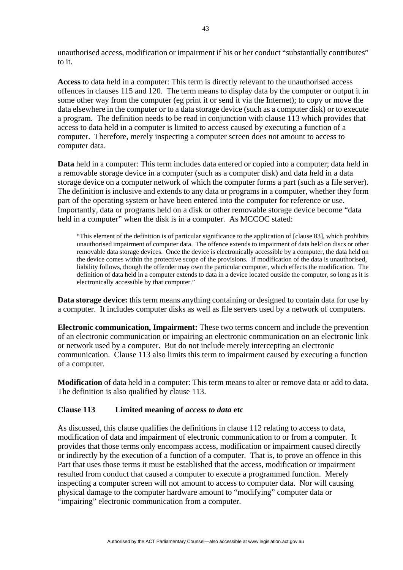unauthorised access, modification or impairment if his or her conduct "substantially contributes" to it.

**Access** to data held in a computer: This term is directly relevant to the unauthorised access offences in clauses 115 and 120. The term means to display data by the computer or output it in some other way from the computer (eg print it or send it via the Internet); to copy or move the data elsewhere in the computer or to a data storage device (such as a computer disk) or to execute a program. The definition needs to be read in conjunction with clause 113 which provides that access to data held in a computer is limited to access caused by executing a function of a computer. Therefore, merely inspecting a computer screen does not amount to access to computer data.

**Data** held in a computer: This term includes data entered or copied into a computer; data held in a removable storage device in a computer (such as a computer disk) and data held in a data storage device on a computer network of which the computer forms a part (such as a file server). The definition is inclusive and extends to any data or programs in a computer, whether they form part of the operating system or have been entered into the computer for reference or use. Importantly, data or programs held on a disk or other removable storage device become "data held in a computer" when the disk is in a computer. As MCCOC stated:

"This element of the definition is of particular significance to the application of [clause 83], which prohibits unauthorised impairment of computer data. The offence extends to impairment of data held on discs or other removable data storage devices. Once the device is electronically accessible by a computer, the data held on the device comes within the protective scope of the provisions. If modification of the data is unauthorised, liability follows, though the offender may own the particular computer, which effects the modification. The definition of data held in a computer extends to data in a device located outside the computer, so long as it is electronically accessible by that computer."

**Data storage device:** this term means anything containing or designed to contain data for use by a computer. It includes computer disks as well as file servers used by a network of computers.

**Electronic communication, Impairment:** These two terms concern and include the prevention of an electronic communication or impairing an electronic communication on an electronic link or network used by a computer. But do not include merely intercepting an electronic communication. Clause 113 also limits this term to impairment caused by executing a function of a computer.

**Modification** of data held in a computer: This term means to alter or remove data or add to data. The definition is also qualified by clause 113.

## **Clause 113 Limited meaning of** *access to data* **etc**

As discussed, this clause qualifies the definitions in clause 112 relating to access to data, modification of data and impairment of electronic communication to or from a computer. It provides that those terms only encompass access, modification or impairment caused directly or indirectly by the execution of a function of a computer. That is, to prove an offence in this Part that uses those terms it must be established that the access, modification or impairment resulted from conduct that caused a computer to execute a programmed function. Merely inspecting a computer screen will not amount to access to computer data. Nor will causing physical damage to the computer hardware amount to "modifying" computer data or "impairing" electronic communication from a computer.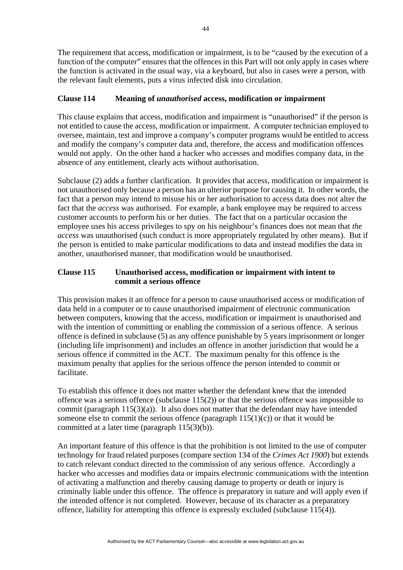The requirement that access, modification or impairment, is to be "caused by the execution of a function of the computer" ensures that the offences in this Part will not only apply in cases where the function is activated in the usual way, via a keyboard, but also in cases were a person, with the relevant fault elements, puts a virus infected disk into circulation.

# **Clause 114 Meaning of** *unauthorised* **access, modification or impairment**

This clause explains that access, modification and impairment is "unauthorised" if the person is not entitled to cause the access, modification or impairment. A computer technician employed to oversee, maintain, test and improve a company's computer programs would be entitled to access and modify the company's computer data and, therefore, the access and modification offences would not apply. On the other hand a hacker who accesses and modifies company data, in the absence of any entitlement, clearly acts without authorisation.

Subclause (2) adds a further clarification. It provides that access, modification or impairment is not unauthorised only because a person has an ulterior purpose for causing it. In other words, the fact that a person may intend to misuse his or her authorisation to access data does not alter the fact that the *access* was authorised. For example, a bank employee may be required to access customer accounts to perform his or her duties. The fact that on a particular occasion the employee uses his access privileges to spy on his neighbour's finances does not mean that *the access* was unauthorised (such conduct is more appropriately regulated by other means). But if the person is entitled to make particular modifications to data and instead modifies the data in another, unauthorised manner, that modification would be unauthorised.

# **Clause 115 Unauthorised access, modification or impairment with intent to commit a serious offence**

This provision makes it an offence for a person to cause unauthorised access or modification of data held in a computer or to cause unauthorised impairment of electronic communication between computers, knowing that the access, modification or impairment is unauthorised and with the intention of committing or enabling the commission of a serious offence. A serious offence is defined in subclause (5) as any offence punishable by 5 years imprisonment or longer (including life imprisonment) and includes an offence in another jurisdiction that would be a serious offence if committed in the ACT. The maximum penalty for this offence is the maximum penalty that applies for the serious offence the person intended to commit or facilitate.

To establish this offence it does not matter whether the defendant knew that the intended offence was a serious offence (subclause 115(2)) or that the serious offence was impossible to commit (paragraph 115(3)(a)). It also does not matter that the defendant may have intended someone else to commit the serious offence (paragraph  $115(1)(c)$ ) or that it would be committed at a later time (paragraph 115(3)(b)).

An important feature of this offence is that the prohibition is not limited to the use of computer technology for fraud related purposes (compare section 134 of the *Crimes Act 1900*) but extends to catch relevant conduct directed to the commission of any serious offence. Accordingly a hacker who accesses and modifies data or impairs electronic communications with the intention of activating a malfunction and thereby causing damage to property or death or injury is criminally liable under this offence. The offence is preparatory in nature and will apply even if the intended offence is not completed. However, because of its character as a preparatory offence, liability for attempting this offence is expressly excluded (subclause  $115(4)$ ).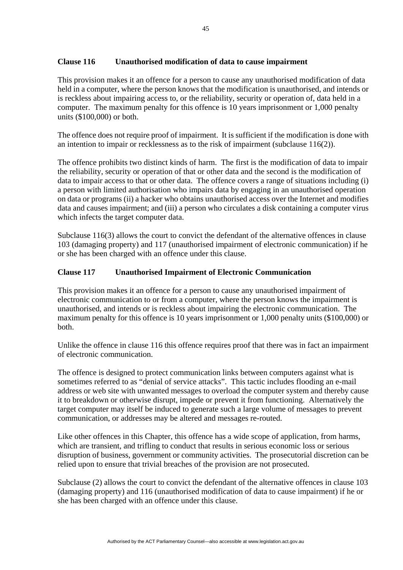## **Clause 116 Unauthorised modification of data to cause impairment**

This provision makes it an offence for a person to cause any unauthorised modification of data held in a computer, where the person knows that the modification is unauthorised, and intends or is reckless about impairing access to, or the reliability, security or operation of, data held in a computer. The maximum penalty for this offence is 10 years imprisonment or 1,000 penalty units (\$100,000) or both.

The offence does not require proof of impairment. It is sufficient if the modification is done with an intention to impair or recklessness as to the risk of impairment (subclause 116(2)).

The offence prohibits two distinct kinds of harm. The first is the modification of data to impair the reliability, security or operation of that or other data and the second is the modification of data to impair access to that or other data. The offence covers a range of situations including (i) a person with limited authorisation who impairs data by engaging in an unauthorised operation on data or programs (ii) a hacker who obtains unauthorised access over the Internet and modifies data and causes impairment; and (iii) a person who circulates a disk containing a computer virus which infects the target computer data.

Subclause 116(3) allows the court to convict the defendant of the alternative offences in clause 103 (damaging property) and 117 (unauthorised impairment of electronic communication) if he or she has been charged with an offence under this clause.

# **Clause 117 Unauthorised Impairment of Electronic Communication**

This provision makes it an offence for a person to cause any unauthorised impairment of electronic communication to or from a computer, where the person knows the impairment is unauthorised, and intends or is reckless about impairing the electronic communication. The maximum penalty for this offence is 10 years imprisonment or 1,000 penalty units (\$100,000) or both.

Unlike the offence in clause 116 this offence requires proof that there was in fact an impairment of electronic communication.

The offence is designed to protect communication links between computers against what is sometimes referred to as "denial of service attacks". This tactic includes flooding an e-mail address or web site with unwanted messages to overload the computer system and thereby cause it to breakdown or otherwise disrupt, impede or prevent it from functioning. Alternatively the target computer may itself be induced to generate such a large volume of messages to prevent communication, or addresses may be altered and messages re-routed.

Like other offences in this Chapter, this offence has a wide scope of application, from harms, which are transient, and trifling to conduct that results in serious economic loss or serious disruption of business, government or community activities. The prosecutorial discretion can be relied upon to ensure that trivial breaches of the provision are not prosecuted.

Subclause (2) allows the court to convict the defendant of the alternative offences in clause 103 (damaging property) and 116 (unauthorised modification of data to cause impairment) if he or she has been charged with an offence under this clause.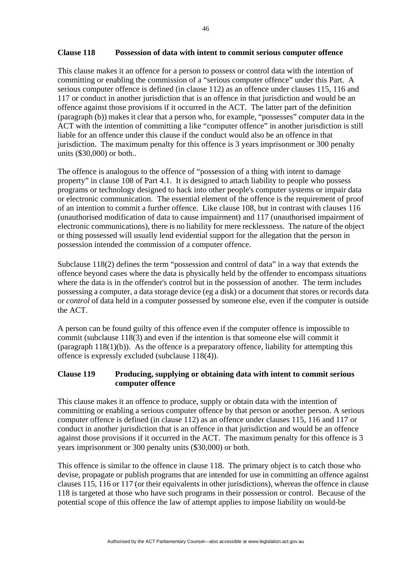#### **Clause 118 Possession of data with intent to commit serious computer offence**

This clause makes it an offence for a person to possess or control data with the intention of committing or enabling the commission of a "serious computer offence" under this Part. A serious computer offence is defined (in clause 112) as an offence under clauses 115, 116 and 117 or conduct in another jurisdiction that is an offence in that jurisdiction and would be an offence against those provisions if it occurred in the ACT. The latter part of the definition (paragraph (b)) makes it clear that a person who, for example, "possesses" computer data in the ACT with the intention of committing a like "computer offence" in another jurisdiction is still liable for an offence under this clause if the conduct would also be an offence in that jurisdiction. The maximum penalty for this offence is 3 years imprisonment or 300 penalty units (\$30,000) or both..

The offence is analogous to the offence of "possession of a thing with intent to damage property" in clause 108 of Part 4.1. It is designed to attach liability to people who possess programs or technology designed to hack into other people's computer systems or impair data or electronic communication. The essential element of the offence is the requirement of proof of an intention to commit a further offence. Like clause 108, but in contrast with clauses 116 (unauthorised modification of data to cause impairment) and 117 (unauthorised impairment of electronic communications), there is no liability for mere recklessness. The nature of the object or thing possessed will usually lend evidential support for the allegation that the person in possession intended the commission of a computer offence.

Subclause 118(2) defines the term "possession and control of data" in a way that extends the offence beyond cases where the data is physically held by the offender to encompass situations where the data is in the offender's control but in the possession of another. The term includes possessing a computer, a data storage device (eg a disk) or a document that stores or records data or *control* of data held in a computer possessed by someone else, even if the computer is outside the ACT.

A person can be found guilty of this offence even if the computer offence is impossible to commit (subclause 118(3) and even if the intention is that someone else will commit it (paragraph 118(1)(b)). As the offence is a preparatory offence, liability for attempting this offence is expressly excluded (subclause 118(4)).

# **Clause 119 Producing, supplying or obtaining data with intent to commit serious computer offence**

This clause makes it an offence to produce, supply or obtain data with the intention of committing or enabling a serious computer offence by that person or another person. A serious computer offence is defined (in clause 112) as an offence under clauses 115, 116 and 117 or conduct in another jurisdiction that is an offence in that jurisdiction and would be an offence against those provisions if it occurred in the ACT. The maximum penalty for this offence is 3 years imprisonment or 300 penalty units (\$30,000) or both.

This offence is similar to the offence in clause 118. The primary object is to catch those who devise, propagate or publish programs that are intended for use in committing an offence against clauses 115, 116 or 117 (or their equivalents in other jurisdictions), whereas the offence in clause 118 is targeted at those who have such programs in their possession or control. Because of the potential scope of this offence the law of attempt applies to impose liability on would-be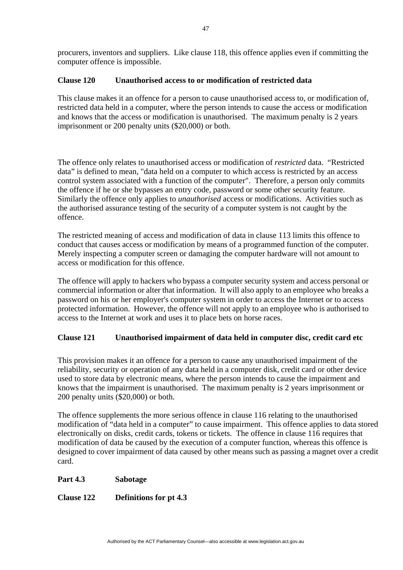procurers, inventors and suppliers. Like clause 118, this offence applies even if committing the computer offence is impossible.

## **Clause 120 Unauthorised access to or modification of restricted data**

This clause makes it an offence for a person to cause unauthorised access to, or modification of, restricted data held in a computer, where the person intends to cause the access or modification and knows that the access or modification is unauthorised. The maximum penalty is 2 years imprisonment or 200 penalty units (\$20,000) or both.

The offence only relates to unauthorised access or modification of *restricted* data. "Restricted data" is defined to mean, "data held on a computer to which access is restricted by an access control system associated with a function of the computer". Therefore, a person only commits the offence if he or she bypasses an entry code, password or some other security feature. Similarly the offence only applies to *unauthorised* access or modifications. Activities such as the authorised assurance testing of the security of a computer system is not caught by the offence.

The restricted meaning of access and modification of data in clause 113 limits this offence to conduct that causes access or modification by means of a programmed function of the computer. Merely inspecting a computer screen or damaging the computer hardware will not amount to access or modification for this offence.

The offence will apply to hackers who bypass a computer security system and access personal or commercial information or alter that information. It will also apply to an employee who breaks a password on his or her employer's computer system in order to access the Internet or to access protected information. However, the offence will not apply to an employee who is authorised to access to the Internet at work and uses it to place bets on horse races.

## **Clause 121 Unauthorised impairment of data held in computer disc, credit card etc**

This provision makes it an offence for a person to cause any unauthorised impairment of the reliability, security or operation of any data held in a computer disk, credit card or other device used to store data by electronic means, where the person intends to cause the impairment and knows that the impairment is unauthorised. The maximum penalty is 2 years imprisonment or 200 penalty units (\$20,000) or both.

The offence supplements the more serious offence in clause 116 relating to the unauthorised modification of "data held in a computer" to cause impairment. This offence applies to data stored electronically on disks, credit cards, tokens or tickets. The offence in clause 116 requires that modification of data be caused by the execution of a computer function, whereas this offence is designed to cover impairment of data caused by other means such as passing a magnet over a credit card.

#### **Part 4.3 Sabotage**

## **Clause 122 Definitions for pt 4.3**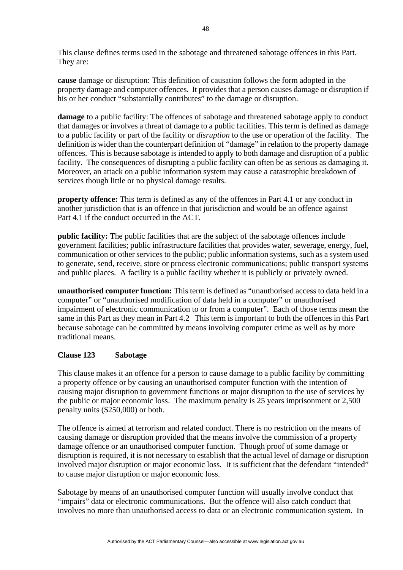This clause defines terms used in the sabotage and threatened sabotage offences in this Part. They are:

**cause** damage or disruption: This definition of causation follows the form adopted in the property damage and computer offences. It provides that a person causes damage or disruption if his or her conduct "substantially contributes" to the damage or disruption.

**damage** to a public facility: The offences of sabotage and threatened sabotage apply to conduct that damages or involves a threat of damage to a public facilities. This term is defined as damage to a public facility or part of the facility or *disruption* to the use or operation of the facility. The definition is wider than the counterpart definition of "damage" in relation to the property damage offences. This is because sabotage is intended to apply to both damage and disruption of a public facility. The consequences of disrupting a public facility can often be as serious as damaging it. Moreover, an attack on a public information system may cause a catastrophic breakdown of services though little or no physical damage results.

**property offence:** This term is defined as any of the offences in Part 4.1 or any conduct in another jurisdiction that is an offence in that jurisdiction and would be an offence against Part 4.1 if the conduct occurred in the ACT.

**public facility:** The public facilities that are the subject of the sabotage offences include government facilities; public infrastructure facilities that provides water, sewerage, energy, fuel, communication or other services to the public; public information systems, such as a system used to generate, send, receive, store or process electronic communications; public transport systems and public places. A facility is a public facility whether it is publicly or privately owned.

**unauthorised computer function:** This term is defined as "unauthorised access to data held in a computer" or "unauthorised modification of data held in a computer" or unauthorised impairment of electronic communication to or from a computer". Each of those terms mean the same in this Part as they mean in Part 4.2 This term is important to both the offences in this Part because sabotage can be committed by means involving computer crime as well as by more traditional means.

# **Clause 123 Sabotage**

This clause makes it an offence for a person to cause damage to a public facility by committing a property offence or by causing an unauthorised computer function with the intention of causing major disruption to government functions or major disruption to the use of services by the public or major economic loss. The maximum penalty is 25 years imprisonment or 2,500 penalty units (\$250,000) or both.

The offence is aimed at terrorism and related conduct. There is no restriction on the means of causing damage or disruption provided that the means involve the commission of a property damage offence or an unauthorised computer function. Though proof of some damage or disruption is required, it is not necessary to establish that the actual level of damage or disruption involved major disruption or major economic loss. It is sufficient that the defendant "intended" to cause major disruption or major economic loss.

Sabotage by means of an unauthorised computer function will usually involve conduct that "impairs" data or electronic communications. But the offence will also catch conduct that involves no more than unauthorised access to data or an electronic communication system. In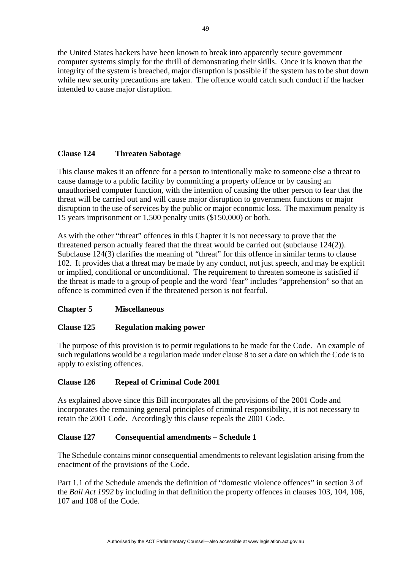the United States hackers have been known to break into apparently secure government computer systems simply for the thrill of demonstrating their skills. Once it is known that the integrity of the system is breached, major disruption is possible if the system has to be shut down while new security precautions are taken. The offence would catch such conduct if the hacker intended to cause major disruption.

# **Clause 124 Threaten Sabotage**

This clause makes it an offence for a person to intentionally make to someone else a threat to cause damage to a public facility by committing a property offence or by causing an unauthorised computer function, with the intention of causing the other person to fear that the threat will be carried out and will cause major disruption to government functions or major disruption to the use of services by the public or major economic loss. The maximum penalty is 15 years imprisonment or 1,500 penalty units (\$150,000) or both.

As with the other "threat" offences in this Chapter it is not necessary to prove that the threatened person actually feared that the threat would be carried out (subclause 124(2)). Subclause 124(3) clarifies the meaning of "threat" for this offence in similar terms to clause 102. It provides that a threat may be made by any conduct, not just speech, and may be explicit or implied, conditional or unconditional. The requirement to threaten someone is satisfied if the threat is made to a group of people and the word 'fear" includes "apprehension" so that an offence is committed even if the threatened person is not fearful.

# **Chapter 5 Miscellaneous**

# **Clause 125 Regulation making power**

The purpose of this provision is to permit regulations to be made for the Code. An example of such regulations would be a regulation made under clause 8 to set a date on which the Code is to apply to existing offences.

# **Clause 126 Repeal of Criminal Code 2001**

As explained above since this Bill incorporates all the provisions of the 2001 Code and incorporates the remaining general principles of criminal responsibility, it is not necessary to retain the 2001 Code. Accordingly this clause repeals the 2001 Code.

# **Clause 127 Consequential amendments – Schedule 1**

The Schedule contains minor consequential amendments to relevant legislation arising from the enactment of the provisions of the Code.

Part 1.1 of the Schedule amends the definition of "domestic violence offences" in section 3 of the *Bail Act 1992* by including in that definition the property offences in clauses 103, 104, 106, 107 and 108 of the Code.